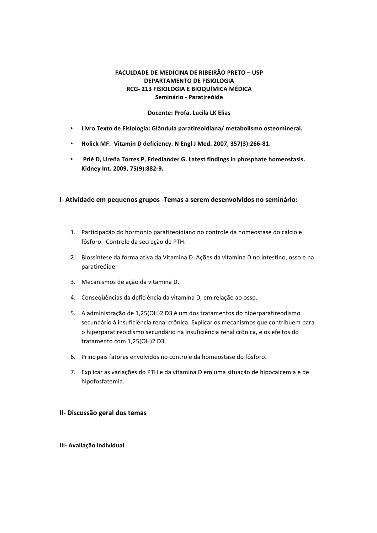# **FACULDADE DE MEDICINA DE RIBEIRÃO PRETO - USP DEPARTAMENTO DE FISIOLOGIA RCG-213 FISIOLOGIA E BIOQUÍMICA MÉDICA Seminário - Paratireóide**

# **Docente: Profa. Lucila LK Elias**

- Livro Texto de Fisiologia: Glândula paratireoidiana/metabolismo osteomineral.
- Holick MF. Vitamin D deficiency. N Engl J Med. 2007, 357(3):266-81.
- Prié D, Ureña Torres P, Friedlander G. Latest findings in phosphate homeostasis. Kidney Int. 2009, 75(9):882-9.

# **I-** Atividade em pequenos grupos - Temas a serem desenvolvidos no seminário:

- 1. Participação do hormônio paratireoidiano no controle da homeostase do cálcio e fósforo. Controle da secreção de PTH.
- 2. Biossíntese da forma ativa da Vitamina D. Ações da vitamina D no intestino, osso e na paratireóide.
- 3. Mecanismos de ação da vitamina D.
- 4. Consequências da deficiência da vitamina D, em relação ao osso.
- 5. A administração de 1,25(OH)2 D3 é um dos tratamentos do hiperparatireodismo secundário à insuficiência renal crônica. Explicar os mecanismos que contribuem para o hiperparatireoidismo secundário na insuficiência renal crônica, e os efeitos do tratamento com 1,25(OH)2 D3.
- 6. Principais fatores envolvidos no controle da homeostase do fósforo.
- 7. Explicar as variações do PTH e da vitamina D em uma situação de hipocalcemia e de hipofosfatemia.

# **II- Discussão geral dos temas**

# **III- Avaliação individual**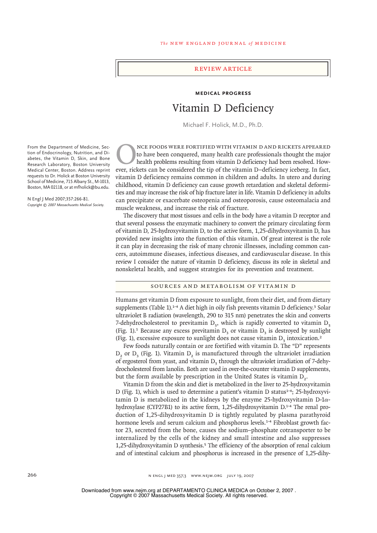# review article

# **Medical Progress** Vitamin D Deficiency

Michael F. Holick, M.D., Ph.D.

NCE FOODS WERE FORTIFIED WITH VITAMIN D AND RICKETS APPEARED to have been conquered, many health care professionals thought the major health problems resulting from vitamin D deficiency had been resolved. However, rickets can be considered the tip of the vitamin D–deficiency iceberg. In fact, vitamin D deficiency remains common in children and adults. In utero and during childhood, vitamin D deficiency can cause growth retardation and skeletal deformities and may increase the risk of hip fracture later in life. Vitamin D deficiency in adults can precipitate or exacerbate osteopenia and osteoporosis, cause osteomalacia and muscle weakness, and increase the risk of fracture.

The discovery that most tissues and cells in the body have a vitamin D receptor and that several possess the enzymatic machinery to convert the primary circulating form of vitamin D, 25-hydroxyvitamin D, to the active form, 1,25-dihydroxyvitamin D, has provided new insights into the function of this vitamin. Of great interest is the role it can play in decreasing the risk of many chronic illnesses, including common cancers, autoimmune diseases, infectious diseases, and cardiovascular disease. In this review I consider the nature of vitamin D deficiency, discuss its role in skeletal and nonskeletal health, and suggest strategies for its prevention and treatment.

#### Sources and Metabolism of Vitamin D

Humans get vitamin D from exposure to sunlight, from their diet, and from dietary supplements (Table 1).<sup>1-4</sup> A diet high in oily fish prevents vitamin D deficiency.<sup>3</sup> Solar ultraviolet B radiation (wavelength, 290 to 315 nm) penetrates the skin and converts 7-dehydrocholesterol to previtamin  $D_3$ , which is rapidly converted to vitamin  $D_3$ (Fig. 1).<sup>1</sup> Because any excess previtamin  $D_3$  or vitamin  $D_3$  is destroyed by sunlight (Fig. 1), excessive exposure to sunlight does not cause vitamin  $D<sub>2</sub>$  intoxication.<sup>2</sup>

Few foods naturally contain or are fortified with vitamin D. The "D" represents  $D<sub>2</sub>$  or  $D<sub>3</sub>$  (Fig. 1). Vitamin  $D<sub>2</sub>$  is manufactured through the ultraviolet irradiation of ergosterol from yeast, and vitamin  $D<sub>3</sub>$  through the ultraviolet irradiation of 7-dehydrocholesterol from lanolin. Both are used in over-the-counter vitamin D supplements, but the form available by prescription in the United States is vitamin  $D<sub>2</sub>$ .

Vitamin D from the skin and diet is metabolized in the liver to 25-hydroxyvitamin D (Fig. 1), which is used to determine a patient's vitamin D status<sup>1-4</sup>; 25-hydroxyvitamin D is metabolized in the kidneys by the enzyme 25-hydroxyvitamin D-1 $\alpha$ hydroxylase (CYP27B1) to its active form, 1,25-dihydroxyvitamin D.1-4 The renal production of 1,25-dihydroxyvitamin D is tightly regulated by plasma parathyroid hormone levels and serum calcium and phosphorus levels.<sup>1-4</sup> Fibroblast growth factor 23, secreted from the bone, causes the sodium–phosphate cotransporter to be internalized by the cells of the kidney and small intestine and also suppresses 1,25-dihydroxyvitamin D synthesis.5 The efficiency of the absorption of renal calcium and of intestinal calcium and phosphorus is increased in the presence of 1,25-dihy-

266 n engl j med 357;3 www.nejm.org july 19, 2007

Copyright © 2007 Massachusetts Medical Society. All rights reserved. Downloaded from www.nejm.org at DEPARTAMENTO CLINICA MEDICA on October 2, 2007 .

From the Department of Medicine, Section of Endocrinology, Nutrition, and Diabetes, the Vitamin D, Skin, and Bone Research Laboratory, Boston University Medical Center, Boston. Address reprint requests to Dr. Holick at Boston University School of Medicine, 715 Albany St., M-1013, Boston, MA 02118, or at mfholick@bu.edu.

N Engl J Med 2007;357:266-81. *Copyright © 2007 Massachusetts Medical Society.*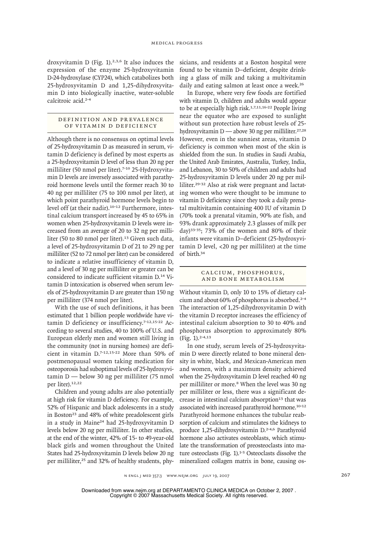droxyvitamin D (Fig.  $1$ ).<sup>2,3,6</sup> It also induces the expression of the enzyme 25-hydroxyvitamin D-24-hydroxylase (CYP24), which catabolizes both 25-hydroxyvitamin D and 1,25-dihydroxyvitamin D into biologically inactive, water-soluble calcitroic acid.2-4

# DEFINITION AND PREVALENCE of Vitamin D Deficiency

Although there is no consensus on optimal levels of 25-hydroxyvitamin D as measured in serum, vitamin D deficiency is defined by most experts as a 25-hydroxyvitamin D level of less than 20 ng per milliliter (50 nmol per liter).<sup>7-10</sup> 25-Hydroxyvitamin D levels are inversely associated with parathyroid hormone levels until the former reach 30 to 40 ng per milliliter (75 to 100 nmol per liter), at which point parathyroid hormone levels begin to level off (at their nadir).10-12 Furthermore, intestinal calcium transport increased by 45 to 65% in women when 25-hydroxyvitamin D levels were increased from an average of 20 to 32 ng per milliliter (50 to 80 nmol per liter).<sup>13</sup> Given such data, a level of 25-hydroxyvitamin D of 21 to 29 ng per milliliter (52 to 72 nmol per liter) can be considered to indicate a relative insufficiency of vitamin D, and a level of 30 ng per milliliter or greater can be considered to indicate sufficient vitamin D.14 Vitamin D intoxication is observed when serum levels of 25-hydroxyvitamin D are greater than 150 ng per milliliter (374 nmol per liter).

With the use of such definitions, it has been estimated that 1 billion people worldwide have vitamin D deficiency or insufficiency.<sup>7-12,15-22</sup> According to several studies, 40 to 100% of U.S. and European elderly men and women still living in the community (not in nursing homes) are deficient in vitamin D.7-12,15-22 More than 50% of postmenopausal women taking medication for osteoporosis had suboptimal levels of 25-hydroxyvitamin D — below 30 ng per milliliter (75 nmol per liter).<sup>12,22</sup>

Children and young adults are also potentially at high risk for vitamin D deficiency. For example, 52% of Hispanic and black adolescents in a study in Boston<sup>23</sup> and 48% of white preadolescent girls in a study in Maine24 had 25-hydroxyvitamin D levels below 20 ng per milliliter. In other studies, at the end of the winter, 42% of 15- to 49-year-old black girls and women throughout the United States had 25-hydroxyvitamin D levels below 20 ng per milliliter,<sup>25</sup> and 32% of healthy students, physicians, and residents at a Boston hospital were found to be vitamin D–deficient, despite drinking a glass of milk and taking a multivitamin daily and eating salmon at least once a week.<sup>26</sup>

In Europe, where very few foods are fortified with vitamin D, children and adults would appear to be at especially high risk.<sup>1,7,11,16-22</sup> People living near the equator who are exposed to sunlight without sun protection have robust levels of 25 hydroxyvitamin  $D$  — above 30 ng per milliliter.<sup>27,28</sup> However, even in the sunniest areas, vitamin D deficiency is common when most of the skin is shielded from the sun. In studies in Saudi Arabia, the United Arab Emirates, Australia, Turkey, India, and Lebanon, 30 to 50% of children and adults had 25-hydroxyvitamin D levels under 20 ng per milliliter.29-32 Also at risk were pregnant and lactating women who were thought to be immune to vitamin D deficiency since they took a daily prenatal multivitamin containing 400 IU of vitamin D (70% took a prenatal vitamin, 90% ate fish, and 93% drank approximately 2.3 glasses of milk per day)33-35; 73% of the women and 80% of their infants were vitamin D–deficient (25-hydroxyvitamin D level, <20 ng per milliliter) at the time of birth.<sup>34</sup>

# CALCIUM, PHOSPHORUS, and Bone Metabolism

Without vitamin D, only 10 to 15% of dietary calcium and about 60% of phosphorus is absorbed.2-4 The interaction of 1,25-dihydroxyvitamin D with the vitamin D receptor increases the efficiency of intestinal calcium absorption to 30 to 40% and phosphorus absorption to approximately 80% (Fig. 1).2-4,13

In one study, serum levels of 25-hydroxyvitamin D were directly related to bone mineral density in white, black, and Mexican-American men and women, with a maximum density achieved when the 25-hydroxyvitamin D level reached 40 ng per milliliter or more.<sup>8</sup> When the level was 30 ng per milliliter or less, there was a significant decrease in intestinal calcium absorption<sup>13</sup> that was associated with increased parathyroid hormone.10-12 Parathyroid hormone enhances the tubular reabsorption of calcium and stimulates the kidneys to produce 1,25-dihydroxyvitamin D.<sup>2-4,6</sup> Parathyroid hormone also activates osteoblasts, which stimulate the transformation of preosteoclasts into mature osteoclasts (Fig. 1).<sup>1-3</sup> Osteoclasts dissolve the mineralized collagen matrix in bone, causing os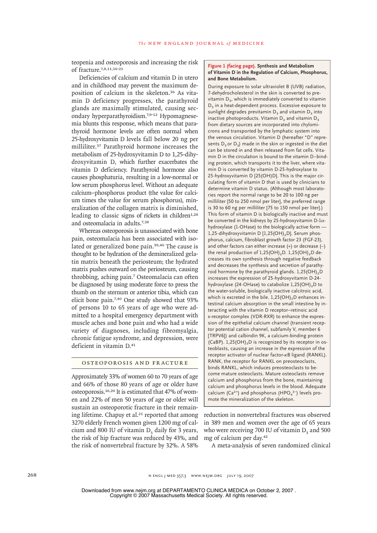teopenia and osteoporosis and increasing the risk of fracture.7,8,11,16-21

Deficiencies of calcium and vitamin D in utero and in childhood may prevent the maximum deposition of calcium in the skeleton.36 As vitamin D deficiency progresses, the parathyroid glands are maximally stimulated, causing secondary hyperparathyroidism.7,9-12 Hypomagnesemia blunts this response, which means that parathyroid hormone levels are often normal when 25-hydroxyvitamin D levels fall below 20 ng per milliliter.37 Parathyroid hormone increases the metabolism of 25-hydroxyvitamin D to 1,25-dihydroxyvitamin D, which further exacerbates the vitamin D deficiency. Parathyroid hormone also causes phosphaturia, resulting in a low-normal or low serum phosphorus level. Without an adequate calcium–phosphorus product (the value for calcium times the value for serum phosphorus), mineralization of the collagen matrix is diminished, leading to classic signs of rickets in children $1,28$ and osteomalacia in adults.7,38

Whereas osteoporosis is unassociated with bone pain, osteomalacia has been associated with isolated or generalized bone pain.<sup>39,40</sup> The cause is thought to be hydration of the demineralized gelatin matrix beneath the periosteum; the hydrated matrix pushes outward on the periosteum, causing throbbing, aching pain.7 Osteomalacia can often be diagnosed by using moderate force to press the thumb on the sternum or anterior tibia, which can elicit bone pain.7,40 One study showed that 93% of persons 10 to 65 years of age who were admitted to a hospital emergency department with muscle aches and bone pain and who had a wide variety of diagnoses, including fibromyalgia, chronic fatigue syndrome, and depression, were deficient in vitamin D.<sup>41</sup>

#### Osteoporosis and Fracture

Approximately 33% of women 60 to 70 years of age and 66% of those 80 years of age or older have osteoporosis.16,20 It is estimated that 47% of women and 22% of men 50 years of age or older will sustain an osteoporotic fracture in their remaining lifetime. Chapuy et al.<sup>21</sup> reported that among 3270 elderly French women given 1200 mg of calcium and 800 IU of vitamin  $D<sub>2</sub>$  daily for 3 years, the risk of hip fracture was reduced by 43%, and the risk of nonvertebral fracture by 32%. A 58%

#### **Figure 1 (facing page). Synthesis and Metabolism of Vitamin D in the Regulation of Calcium, Phosphorus, and Bone Metabolism.**

During exposure to solar ultraviolet B (UVB) radiation, 7-dehydrocholesterol in the skin is converted to previtamin  $D_3$ , which is immediately converted to vitamin  $D_3$  in a heat-dependent process. Excessive exposure to sunlight degrades previtamin  $D_3$  and vitamin  $D_3$  into inactive photoproducts. Vitamin  $D_2$  and vitamin  $D_3$ from dietary sources are incorporated into chylomicrons and transported by the lymphatic system into the venous circulation. Vitamin D (hereafter "D" represents  $D_2$  or  $D_3$ ) made in the skin or ingested in the diet can be stored in and then released from fat cells. Vitamin D in the circulation is bound to the vitamin D–binding protein, which transports it to the liver, where vitamin D is converted by vitamin D-25-hydroxylase to 25-hydroxyvitamin D [25(OH)D]. This is the major circulating form of vitamin D that is used by clinicians to determine vitamin D status. (Although most laboratories report the normal range to be 20 to 100 ng per milliliter [50 to 250 nmol per liter], the preferred range is 30 to 60 ng per milliliter [75 to 150 nmol per liter].) This form of vitamin D is biologically inactive and must be converted in the kidneys by 25-hydroxyvitamin D- $1\alpha$ hydroxylase (1-OHase) to the biologically active form -1,25-dihydroxyvitamin D  $[1,25(OH)_2D]$ . Serum phosphorus, calcium, fibroblast growth factor 23 (FGF-23), and other factors can either increase (+) or decrease (–) the renal production of  $1,25(OH)_2D.$  1,25(OH)<sub>2</sub>D decreases its own synthesis through negative feedback and decreases the synthesis and secretion of parathyroid hormone by the parathyroid glands.  $1,25(OH)_{2}D$ increases the expression of 25-hydroxyvitamin D-24 hydroxylase (24-OHase) to catabolize  $1,25(OH)_{2}D$  to the water-soluble, biologically inactive calcitroic acid, which is excreted in the bile.  $1,25(OH)_{2}D$  enhances intestinal calcium absorption in the small intestine by interacting with the vitamin D receptor–retinoic acid x-receptor complex (VDR-RXR) to enhance the expression of the epithelial calcium channel (transient receptor potential cation channel, subfamily V, member 6 [TRPV6]) and calbindin 9K, a calcium-binding protein (CaBP).  $1,25(OH)_{2}D$  is recognized by its receptor in osteoblasts, causing an increase in the expression of the receptor activator of nuclear factor-κB ligand (RANKL). RANK, the receptor for RANKL on preosteoclasts, binds RANKL, which induces preosteoclasts to become mature osteoclasts. Mature osteoclasts remove calcium and phosphorus from the bone, maintaining calcium and phosphorus levels in the blood. Adequate calcium (Ca<sup>2+</sup>) and phosphorus (HPO<sub>4</sub><sup>2-</sup>) levels promote the mineralization of the skeleton.

reduction in nonvertebral fractures was observed in 389 men and women over the age of 65 years who were receiving 700 IU of vitamin  $D<sub>2</sub>$  and 500 mg of calcium per day.<sup>42</sup>

A meta-analysis of seven randomized clinical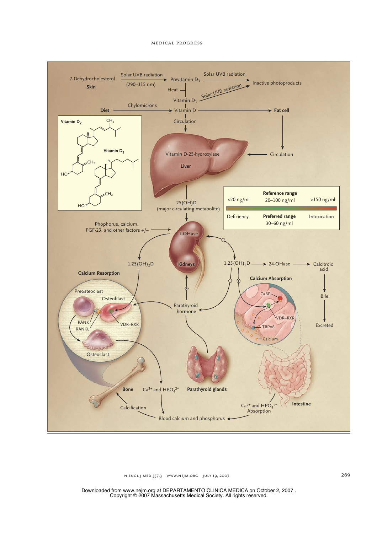#### medical progress



n engl j med 357;3 www.nejm.org july 19, 2007 269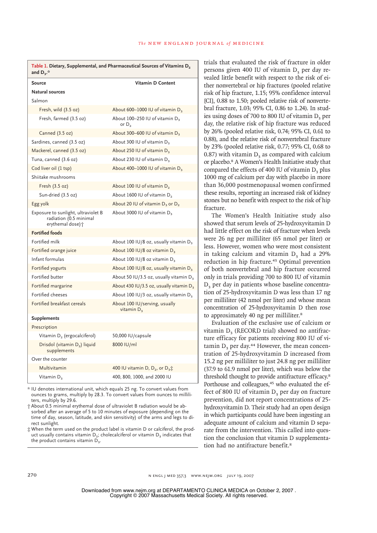| and $D_3$ .*                                                                       |                                                            |
|------------------------------------------------------------------------------------|------------------------------------------------------------|
| <b>Source</b>                                                                      | Vitamin D Content                                          |
| Natural sources                                                                    |                                                            |
| Salmon                                                                             |                                                            |
| Fresh, wild (3.5 oz)                                                               | About 600-1000 IU of vitamin $D_3$                         |
| Fresh, farmed (3.5 oz)                                                             | About 100-250 IU of vitamin D <sub>3</sub><br>or $D_{2}$   |
| Canned (3.5 oz)                                                                    | About 300–600 IU of vitamin D <sub>3</sub>                 |
| Sardines, canned (3.5 oz)                                                          | About 300 IU of vitamin D <sub>3</sub>                     |
| Mackerel, canned (3.5 oz)                                                          | About 250 IU of vitamin D <sub>3</sub>                     |
| Tuna, canned (3.6 oz)                                                              | About 230 IU of vitamin D <sub>3</sub>                     |
| Cod liver oil (1 tsp)                                                              | About 400-1000 IU of vitamin $D_3$                         |
| Shiitake mushrooms                                                                 |                                                            |
| Fresh (3.5 oz)                                                                     | About 100 IU of vitamin D <sub>2</sub>                     |
| Sun-dried (3.5 oz)                                                                 | About 1600 IU of vitamin D <sub>2</sub>                    |
| Egg yolk                                                                           | About 20 IU of vitamin $D_3$ or $D_2$                      |
| Exposure to sunlight, ultraviolet B<br>radiation (0.5 minimal<br>erythemal dose) + | About 3000 IU of vitamin D <sub>3</sub>                    |
| <b>Fortified foods</b>                                                             |                                                            |
| Fortified milk                                                                     | About 100 IU/8 oz, usually vitamin $D_3$                   |
| Fortified orange juice                                                             | About 100 IU/8 oz vitamin $D_3$                            |
| Infant formulas                                                                    | About 100 IU/8 oz vitamin $D_3$                            |
| Fortified yogurts                                                                  | About 100 IU/8 oz, usually vitamin $D_3$                   |
| Fortified butter                                                                   | About 50 IU/3.5 oz, usually vitamin $D_3$                  |
| Fortified margarine                                                                | About 430 IU/3.5 oz, usually vitamin $D_3$                 |
| Fortified cheeses                                                                  | About 100 IU/3 oz, usually vitamin $D_3$                   |
| Fortified breakfast cereals                                                        | About 100 IU/serving, usually<br>vitamin $D3$              |
| <b>Supplements</b>                                                                 |                                                            |
| Prescription                                                                       |                                                            |
| Vitamin D <sub>2</sub> (ergocalciferol)                                            | 50,000 IU/capsule                                          |
| Drisdol (vitamin D <sub>2</sub> ) liquid<br>supplements                            | 8000 IU/ml                                                 |
| Over the counter                                                                   |                                                            |
| Multivitamin                                                                       | 400 IU vitamin D, D <sub>2</sub> , or D <sub>3</sub> $\pm$ |
| Vitamin D <sub>3</sub>                                                             | 400, 800, 1000, and 2000 IU                                |

**Table 1. Dietary, Supplemental, and Pharmaceutical Sources of Vitamins D<sup>2</sup>**

\* IU denotes international unit, which equals 25 ng. To convert values from ounces to grams, multiply by 28.3. To convert values from ounces to milliliters, multiply by 29.6.

† About 0.5 minimal erythemal dose of ultraviolet B radiation would be absorbed after an average of 5 to 10 minutes of exposure (depending on the time of day, season, latitude, and skin sensitivity) of the arms and legs to direct sunlight.

‡ When the term used on the product label is vitamin D or calciferol, the product usually contains vitamin  $D_2$ ; cholecalciferol or vitamin  $D_3$  indicates that the product contains vitamin  $D<sub>3</sub>$ .

trials that evaluated the risk of fracture in older persons given 400 IU of vitamin  $D<sub>2</sub>$  per day revealed little benefit with respect to the risk of either nonvertebral or hip fractures (pooled relative risk of hip fracture, 1.15; 95% confidence interval [CI], 0.88 to 1.50; pooled relative risk of nonvertebral fracture, 1.03; 95% CI, 0.86 to 1.24). In studies using doses of 700 to 800 IU of vitamin  $D<sub>3</sub>$  per day, the relative risk of hip fracture was reduced by 26% (pooled relative risk, 0.74; 95% CI, 0.61 to 0.88), and the relative risk of nonvertebral fracture by 23% (pooled relative risk, 0.77; 95% CI, 0.68 to 0.87) with vitamin  $D<sub>3</sub>$  as compared with calcium or placebo.8 A Women's Health Initiative study that compared the effects of 400 IU of vitamin  $D<sub>3</sub>$  plus 1000 mg of calcium per day with placebo in more than 36,000 postmenopausal women confirmed these results, reporting an increased risk of kidney stones but no benefit with respect to the risk of hip fracture.

The Women's Health Initiative study also showed that serum levels of 25-hydroxyvitamin D had little effect on the risk of fracture when levels were 26 ng per milliliter (65 nmol per liter) or less. However, women who were most consistent in taking calcium and vitamin D<sub>2</sub> had a 29% reduction in hip fracture.<sup>43</sup> Optimal prevention of both nonvertebral and hip fracture occurred only in trials providing 700 to 800 IU of vitamin D<sub>2</sub> per day in patients whose baseline concentration of 25-hydroxyvitamin D was less than 17 ng per milliliter (42 nmol per liter) and whose mean concentration of 25-hydroxyvitamin D then rose to approximately 40 ng per milliliter.<sup>8</sup>

Evaluation of the exclusive use of calcium or vitamin D<sub>2</sub> (RECORD trial) showed no antifracture efficacy for patients receiving 800 IU of vi $t_{\text{a}}$  tamin D<sub>2</sub> per day.<sup>44</sup> However, the mean concentration of 25-hydroxyvitamin D increased from 15.2 ng per milliliter to just 24.8 ng per milliliter (37.9 to 61.9 nmol per liter), which was below the threshold thought to provide antifracture efficacy.<sup>8</sup> Porthouse and colleagues,<sup>45</sup> who evaluated the effect of 800 IU of vitamin  $D<sub>2</sub>$  per day on fracture prevention, did not report concentrations of 25 hydroxyvitamin D. Their study had an open design in which participants could have been ingesting an adequate amount of calcium and vitamin D separate from the intervention. This called into question the conclusion that vitamin D supplementation had no antifracture benefit.<sup>8</sup>

270 n engl j med 357;3 www.nejm.org july 19, 2007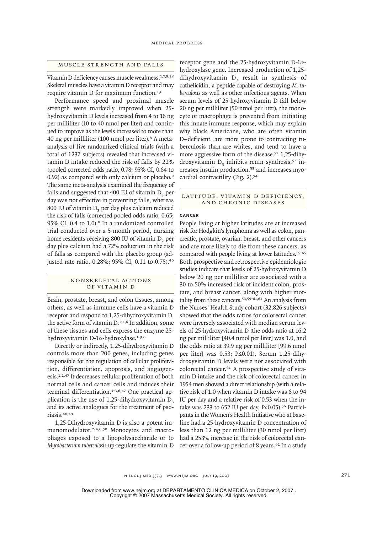# Muscle Strength and Falls

Vitamin D deficiency causes muscle weakness.1,7,8,28 Skeletal muscles have a vitamin D receptor and may require vitamin D for maximum function.1,8

Performance speed and proximal muscle strength were markedly improved when 25 hydroxyvitamin D levels increased from 4 to 16 ng per milliliter (10 to 40 nmol per liter) and continued to improve as the levels increased to more than 40 ng per milliliter (100 nmol per liter).8 A metaanalysis of five randomized clinical trials (with a total of 1237 subjects) revealed that increased vitamin D intake reduced the risk of falls by 22% (pooled corrected odds ratio, 0.78; 95% CI, 0.64 to 0.92) as compared with only calcium or placebo.<sup>8</sup> The same meta-analysis examined the frequency of falls and suggested that 400 IU of vitamin  $D<sub>2</sub>$  per day was not effective in preventing falls, whereas 800 IU of vitamin  $D<sub>3</sub>$  per day plus calcium reduced the risk of falls (corrected pooled odds ratio, 0.65; 95% CI, 0.4 to 1.0).8 In a randomized controlled trial conducted over a 5-month period, nursing home residents receiving 800 IU of vitamin D<sub>2</sub> per day plus calcium had a 72% reduction in the risk of falls as compared with the placebo group (adjusted rate ratio, 0.28%; 95% CI, 0.11 to 0.75).<sup>46</sup>

# NONSK ELETAL ACTIONS of Vitamin D

Brain, prostate, breast, and colon tissues, among others, as well as immune cells have a vitamin D receptor and respond to 1,25-dihydroxyvitamin D, the active form of vitamin D.1-4,6 In addition, some of these tissues and cells express the enzyme 25 hydroxyvitamin D-1α-hydroxylase.1-3,6

Directly or indirectly, 1,25-dihydroxyvitamin D controls more than 200 genes, including genes responsible for the regulation of cellular proliferation, differentiation, apoptosis, and angiogenesis.1,2,47 It decreases cellular proliferation of both normal cells and cancer cells and induces their terminal differentiation.1-3,6,47 One practical application is the use of  $1,25$ -dihydroxyvitamin D<sub>2</sub> and its active analogues for the treatment of psoriasis.48,49

1,25-Dihydroxyvitamin D is also a potent immunomodulator.2-4,6,50 Monocytes and macrophages exposed to a lipopolysaccharide or to *Mycobacterium tuberculosis* up-regulate the vitamin D

receptor gene and the 25-hydroxyvitamin D-1 $\alpha$ hydroxylase gene. Increased production of 1,25 dihydroxyvitamin  $D<sub>2</sub>$  result in synthesis of cathelicidin, a peptide capable of destroying *M. tuberculosis* as well as other infectious agents. When serum levels of 25-hydroxyvitamin D fall below 20 ng per milliliter (50 nmol per liter), the monocyte or macrophage is prevented from initiating this innate immune response, which may explain why black Americans, who are often vitamin D–deficient, are more prone to contracting tuberculosis than are whites, and tend to have a more aggressive form of the disease.<sup>51</sup> 1,25-dihydroxyvitamin  $D_3$  inhibits renin synthesis,<sup>52</sup> increases insulin production,53 and increases myocardial contractility (Fig. 2).<sup>54</sup>

# LATITUDE, VITAMIN D DEFICIENCY, and Chronic Diseases

#### **Cancer**

People living at higher latitudes are at increased risk for Hodgkin's lymphoma as well as colon, pancreatic, prostate, ovarian, breast, and other cancers and are more likely to die from these cancers, as compared with people living at lower latitudes.<sup>55-65</sup> Both prospective and retrospective epidemiologic studies indicate that levels of 25-hydroxyvitamin D below 20 ng per milliliter are associated with a 30 to 50% increased risk of incident colon, prostate, and breast cancer, along with higher mortality from these cancers.56,59-61,64 An analysis from the Nurses' Health Study cohort (32,826 subjects) showed that the odds ratios for colorectal cancer were inversely associated with median serum levels of 25-hydroxyvitamin D (the odds ratio at 16.2 ng per milliliter [40.4 nmol per liter] was 1.0, and the odds ratio at 39.9 ng per milliliter [99.6 nmol per liter] was 0.53; P≤0.01). Serum 1,25-dihydroxyvitamin D levels were not associated with colorectal cancer.<sup>61</sup> A prospective study of vitamin D intake and the risk of colorectal cancer in 1954 men showed a direct relationship (with a relative risk of 1.0 when vitamin D intake was 6 to 94 IU per day and a relative risk of 0.53 when the intake was 233 to 652 IU per day,  $P<0.05$ ).<sup>56</sup> Participants in the Women's Health Initiative who at baseline had a 25-hydroxyvitamin D concentration of less than 12 ng per milliliter (30 nmol per liter) had a 253% increase in the risk of colorectal cancer over a follow-up period of 8 years.<sup>62</sup> In a study

n engl j med 357;3 www.nejm.org july 19, 2007 271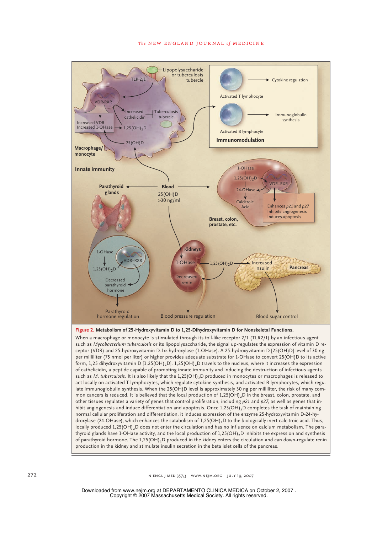#### **The NEW ENGLAND JOURNAL of MEDICINE**



normal cellular proliferation and differentiation, it induces expression of the enzyme 25-hydroxyvitamin D-24-hydroxylase (24-OHase), which enhances the catabolism of  $1{,}25(OH)_2$ D to the biologically inert calcitroic acid. Thus, locally produced 1,25(OH)<sub>2</sub>D does not enter the circulation and has no influence on calcium metabolism. The parathyroid glands have 1-OHase activity, and the local production of 1,25(OH)<sub>2</sub>D inhibits the expression and synthesis of parathyroid hormone. The  $1,25(OH)_2D$  produced in the kidney enters the circulation and can down-regulate renin production in the kidney and stimulate insulin secretion in the beta islet cells of the pancreas.

272 n engl j med 357;3 www.nejm.org july 19, 2007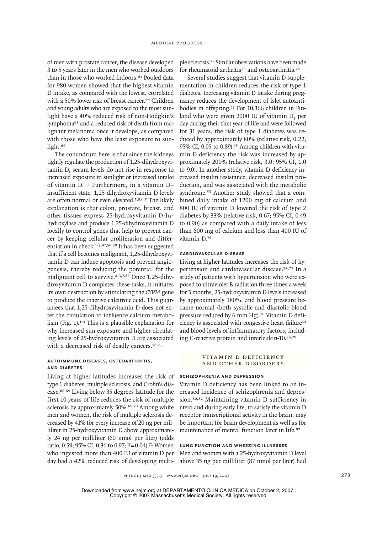of men with prostate cancer, the disease developed 3 to 5 years later in the men who worked outdoors than in those who worked indoors.63 Pooled data for 980 women showed that the highest vitamin D intake, as compared with the lowest, correlated with a 50% lower risk of breast cancer.<sup>64</sup> Children and young adults who are exposed to the most sunlight have a 40% reduced risk of non-Hodgkin's lymphoma65 and a reduced risk of death from malignant melanoma once it develops, as compared with those who have the least exposure to sunlight.<sup>66</sup>

The conundrum here is that since the kidneys tightly regulate the production of 1,25-dihydroxyvitamin D, serum levels do not rise in response to increased exposure to sunlight or increased intake of vitamin D.1-3 Furthermore, in a vitamin D– insufficient state, 1,25-dihydroxyvitamin D levels are often normal or even elevated.1,3,6,7 The likely explanation is that colon, prostate, breast, and other tissues express 25-hydroxyvitamin D-1αhydroxylase and produce 1,25-dihydroxyvitamin D locally to control genes that help to prevent cancer by keeping cellular proliferation and differentiation in check.1-3,47,56,58 It has been suggested that if a cell becomes malignant, 1,25-dihydroxyvitamin D can induce apoptosis and prevent angiogenesis, thereby reducing the potential for the malignant cell to survive.<sup>2,3,7,67</sup> Once 1,25-dihydroxyvitamin D completes these tasks, it initiates its own destruction by stimulating the *CYP24* gene to produce the inactive calcitroic acid. This guarantees that 1,25-dihydroxyvitamin D does not enter the circulation to influence calcium metabolism (Fig. 1).1-4 This is a plausible explanation for why increased sun exposure and higher circulating levels of 25-hydroxyvitamin D are associated with a decreased risk of deadly cancers.<sup>56-65</sup>

# **Autoimmune Diseases, Osteoarthritis, and Diabetes**

Living at higher latitudes increases the risk of type 1 diabetes, multiple sclerosis, and Crohn's disease.68,69 Living below 35 degrees latitude for the first 10 years of life reduces the risk of multiple sclerosis by approximately 50%.<sup>69,70</sup> Among white men and women, the risk of multiple sclerosis decreased by 41% for every increase of 20 ng per milliliter in 25-hydroxyvitamin D above approximately 24 ng per milliliter (60 nmol per liter) (odds ratio, 0.59; 95% CI, 0.36 to 0.97; P=0.04).<sup>71</sup> Women who ingested more than 400 IU of vitamin D per day had a 42% reduced risk of developing multiple sclerosis.72 Similar observations have been made for rheumatoid arthritis<sup>73</sup> and osteoarthritis.<sup>74</sup>

Several studies suggest that vitamin D supplementation in children reduces the risk of type 1 diabetes. Increasing vitamin D intake during pregnancy reduces the development of islet autoantibodies in offspring.53 For 10,366 children in Finland who were given 2000 IU of vitamin  $D<sub>3</sub>$  per day during their first year of life and were followed for 31 years, the risk of type 1 diabetes was reduced by approximately 80% (relative risk, 0.22; 95% CI, 0.05 to 0.89).75 Among children with vitamin D deficiency the risk was increased by approximately 200% (relative risk, 3.0; 95% CI, 1.0 to 9.0). In another study, vitamin D deficiency increased insulin resistance, decreased insulin production, and was associated with the metabolic syndrome.53 Another study showed that a combined daily intake of 1200 mg of calcium and 800 IU of vitamin D lowered the risk of type 2 diabetes by 33% (relative risk, 0.67; 95% CI, 0.49 to 0.90) as compared with a daily intake of less than 600 mg of calcium and less than 400 IU of vitamin D.<sup>76</sup>

# **Cardiovascular Disease**

Living at higher latitudes increases the risk of hypertension and cardiovascular disease.54,77 In a study of patients with hypertension who were exposed to ultraviolet B radiation three times a week for 3 months, 25-hydroxyvitamin D levels increased by approximately 180%, and blood pressure became normal (both systolic and diastolic blood pressure reduced by 6 mm Hg).78 Vitamin D deficiency is associated with congestive heart failure<sup>54</sup> and blood levels of inflammatory factors, including C-reactive protein and interleukin-10.54,79

# VITAMIN D DEFICIENCY and Other Disorders

#### **Schizophrenia and Depression**

Vitamin D deficiency has been linked to an increased incidence of schizophrenia and depression.80,81 Maintaining vitamin D sufficiency in utero and during early life, to satisfy the vitamin D receptor transcriptional activity in the brain, may be important for brain development as well as for maintenance of mental function later in life.<sup>82</sup>

#### **Lung Function and Wheezing Illnesses**

Men and women with a 25-hydroxyvitamin D level above 35 ng per milliliter (87 nmol per liter) had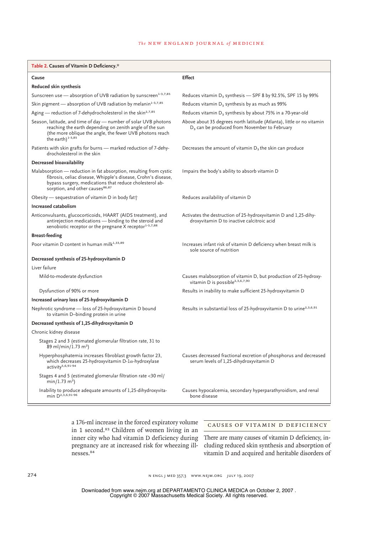# **The NEW ENGLAND JOURNAL of MEDICINE**

| Table 2. Causes of Vitamin D Deficiency.*                                                                                                                                                                                                     |                                                                                                                          |
|-----------------------------------------------------------------------------------------------------------------------------------------------------------------------------------------------------------------------------------------------|--------------------------------------------------------------------------------------------------------------------------|
| Cause                                                                                                                                                                                                                                         | <b>Effect</b>                                                                                                            |
| Reduced skin synthesis                                                                                                                                                                                                                        |                                                                                                                          |
| Sunscreen use - absorption of UVB radiation by sunscreen <sup>1-3,7,85</sup>                                                                                                                                                                  | Reduces vitamin $D_3$ synthesis $-$ SPF 8 by 92.5%, SPF 15 by 99%                                                        |
| Skin pigment - absorption of UVB radiation by melanin <sup>1-3,7,85</sup>                                                                                                                                                                     | Reduces vitamin $D_3$ synthesis by as much as 99%                                                                        |
| Aging - reduction of 7-dehydrocholesterol in the skin <sup>2,7,85</sup>                                                                                                                                                                       | Reduces vitamin $D_3$ synthesis by about 75% in a 70-year-old                                                            |
| Season, latitude, and time of day - number of solar UVB photons<br>reaching the earth depending on zenith angle of the sun<br>(the more oblique the angle, the fewer UVB photons reach<br>the earth) <sup>1-3,85</sup>                        | Above about 35 degrees north latitude (Atlanta), little or no vitamin<br>$D_3$ can be produced from November to February |
| Patients with skin grafts for burns - marked reduction of 7-dehy-<br>drocholesterol in the skin                                                                                                                                               | Decreases the amount of vitamin $D_3$ the skin can produce                                                               |
| Decreased bioavailability                                                                                                                                                                                                                     |                                                                                                                          |
| Malabsorption — reduction in fat absorption, resulting from cystic<br>fibrosis, celiac disease, Whipple's disease, Crohn's disease,<br>bypass surgery, medications that reduce cholesterol ab-<br>sorption, and other causes <sup>86,87</sup> | Impairs the body's ability to absorb vitamin D                                                                           |
| Obesity - sequestration of vitamin D in body fatt                                                                                                                                                                                             | Reduces availability of vitamin D                                                                                        |
| Increased catabolism                                                                                                                                                                                                                          |                                                                                                                          |
| Anticonvulsants, glucocorticoids, HAART (AIDS treatment), and<br>antirejection medications - binding to the steroid and<br>xenobiotic receptor or the pregnane X receptor <sup>1-3,7,88</sup>                                                 | Activates the destruction of 25-hydroxyvitamin D and 1,25-dihy-<br>droxyvitamin D to inactive calcitroic acid            |
| <b>Breast-feeding</b>                                                                                                                                                                                                                         |                                                                                                                          |
| Poor vitamin D content in human milk <sup>1,33,89</sup>                                                                                                                                                                                       | Increases infant risk of vitamin D deficiency when breast milk is<br>sole source of nutrition                            |
| Decreased synthesis of 25-hydroxyvitamin D                                                                                                                                                                                                    |                                                                                                                          |
| Liver failure                                                                                                                                                                                                                                 |                                                                                                                          |
| Mild-to-moderate dysfunction                                                                                                                                                                                                                  | Causes malabsorption of vitamin D, but production of 25-hydroxy-<br>vitamin D is possible <sup>2,3,6,7,90</sup>          |
| Dysfunction of 90% or more                                                                                                                                                                                                                    | Results in inability to make sufficient 25-hydroxyvitamin D                                                              |
| Increased urinary loss of 25-hydroxyvitamin D                                                                                                                                                                                                 |                                                                                                                          |
| Nephrotic syndrome - loss of 25-hydroxyvitamin D bound<br>to vitamin D-binding protein in urine                                                                                                                                               | Results in substantial loss of 25-hydroxyvitamin D to urine <sup>2,3,6,91</sup>                                          |
| Decreased synthesis of 1,25-dihydroxyvitamin D                                                                                                                                                                                                |                                                                                                                          |
| Chronic kidney disease                                                                                                                                                                                                                        |                                                                                                                          |
| Stages 2 and 3 (estimated glomerular filtration rate, 31 to<br>89 ml/min/1.73 m <sup>2</sup> )                                                                                                                                                |                                                                                                                          |
| Hyperphosphatemia increases fibroblast growth factor 23,<br>which decreases 25-hydroxyvitamin D- $1\alpha$ -hydroxylase<br>activity <sup>5,6,91-94</sup>                                                                                      | Causes decreased fractional excretion of phosphorus and decreased<br>serum levels of 1,25-dihydroxyvitamin D             |
| Stages 4 and 5 (estimated glomerular filtration rate <30 ml/<br>$min/1.73 m2$ )                                                                                                                                                               |                                                                                                                          |
| Inability to produce adequate amounts of 1,25-dihydroxyvita-<br>min D <sup>2,3,6,91-96</sup>                                                                                                                                                  | Causes hypocalcemia, secondary hyperparathyroidism, and renal<br>bone disease                                            |

a 176-ml increase in the forced expiratory volume in 1 second.<sup>83</sup> Children of women living in an inner city who had vitamin D deficiency during pregnancy are at increased risk for wheezing illnesses.<sup>84</sup>

# Causes of Vitamin D Deficiency

There are many causes of vitamin D deficiency, including reduced skin synthesis and absorption of vitamin D and acquired and heritable disorders of

274 n engl j med 357;3 www.nejm.org july 19, 2007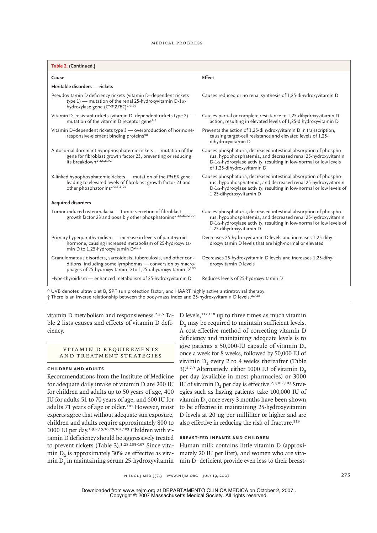#### medical progress

| Table 2. (Continued.)                                                                                                                                                                                     |                                                                                                                                                                                                                                                |  |  |
|-----------------------------------------------------------------------------------------------------------------------------------------------------------------------------------------------------------|------------------------------------------------------------------------------------------------------------------------------------------------------------------------------------------------------------------------------------------------|--|--|
| Cause                                                                                                                                                                                                     | <b>Effect</b>                                                                                                                                                                                                                                  |  |  |
| Heritable disorders - rickets                                                                                                                                                                             |                                                                                                                                                                                                                                                |  |  |
| Pseudovitamin D deficiency rickets (vitamin D-dependent rickets<br>type 1) — mutation of the renal 25-hydroxyvitamin D-1 $\alpha$ -<br>hydroxylase gene (CYP27B1) <sup>1-3,97</sup>                       | Causes reduced or no renal synthesis of 1,25-dihydroxyvitamin D                                                                                                                                                                                |  |  |
| Vitamin D-resistant rickets (vitamin D-dependent rickets type 2) -<br>mutation of the vitamin D receptor gene <sup>1-3</sup>                                                                              | Causes partial or complete resistance to 1,25-dihydroxyvitamin D<br>action, resulting in elevated levels of 1,25-dihydroxyvitamin D                                                                                                            |  |  |
| Vitamin D-dependent rickets type 3 - overproduction of hormone-<br>responsive-element binding proteins <sup>98</sup>                                                                                      | Prevents the action of 1,25-dihydroxyvitamin D in transcription,<br>causing target-cell resistance and elevated levels of 1,25-<br>dihydroxyvitamin D                                                                                          |  |  |
| Autosomal dominant hypophosphatemic rickets — mutation of the<br>gene for fibroblast growth factor 23, preventing or reducing<br>its breakdown <sup>1-3,5,6,92</sup>                                      | Causes phosphaturia, decreased intestinal absorption of phospho-<br>rus, hypophosphatemia, and decreased renal 25-hydroxyvitamin<br>$D$ -1 $\alpha$ -hydroxylase activity, resulting in low-normal or low levels<br>of 1,25-dihydroxyvitamin D |  |  |
| X-linked hypophosphatemic rickets — mutation of the PHEX gene,<br>leading to elevated levels of fibroblast growth factor 23 and<br>other phosphatonins <sup>1-3,5,6,92</sup>                              | Causes phosphaturia, decreased intestinal absorption of phospho-<br>rus, hypophosphatemia, and decreased renal 25-hydroxyvitamin<br>$D$ -1 $\alpha$ -hydroxylase activity, resulting in low-normal or low levels of<br>1,25-dihydroxyvitamin D |  |  |
| <b>Acquired disorders</b>                                                                                                                                                                                 |                                                                                                                                                                                                                                                |  |  |
| Tumor-induced osteomalacia — tumor secretion of fibroblast<br>growth factor 23 and possibly other phosphatonins <sup>1-3,5,6,92,99</sup>                                                                  | Causes phosphaturia, decreased intestinal absorption of phospho-<br>rus, hypophosphatemia, and decreased renal 25-hydroxyvitamin<br>$D$ -1 $\alpha$ -hydroxylase activity, resulting in low-normal or low levels of<br>1,25-dihydroxyvitamin D |  |  |
| Primary hyperparathyroidism - increase in levels of parathyroid<br>hormone, causing increased metabolism of 25-hydroxyvita-<br>min D to 1,25-hydroxyvitamin $D^{2,3,6}$                                   | Decreases 25-hydroxyvitamin D levels and increases 1,25-dihy-<br>droxyvitamin D levels that are high-normal or elevated                                                                                                                        |  |  |
| Granulomatous disorders, sarcoidosis, tuberculosis, and other con-<br>ditions, including some lymphomas - conversion by macro-<br>phages of 25-hydroxyvitamin D to 1,25-dihydroxyvitamin D <sup>100</sup> | Decreases 25-hydroxyvitamin D levels and increases 1,25-dihy-<br>droxyvitamin D levels                                                                                                                                                         |  |  |
| Hyperthyroidism — enhanced metabolism of 25-hydroxyvitamin D                                                                                                                                              | Reduces levels of 25-hydroxyvitamin D                                                                                                                                                                                                          |  |  |
| * UVD denotes ultravialet D. CDE que protection fector, and HAADT bigleby estive aptivotraviral thorony                                                                                                   |                                                                                                                                                                                                                                                |  |  |

\* UVB denotes ultraviolet B, SPF sun protection factor, and HAART highly active antiretroviral therapy.<br>† There is an inverse relationship between the body-mass index and 25-hydroxyvitamin D levels.<sup>2,7,85</sup>

ble 2 lists causes and effects of vitamin D deficiency.

# VITAMIN D REQUIREMENTS and Treatment Strategies

# **Children and Adults**

Recommendations from the Institute of Medicine for adequate daily intake of vitamin D are 200 IU for children and adults up to 50 years of age, 400 IU for adults 51 to 70 years of age, and 600 IU for adults 71 years of age or older.101 However, most experts agree that without adequate sun exposure, children and adults require approximately 800 to 1000 IU per day.1-3,8,15,16,20,102,103 Children with vitamin D deficiency should be aggressively treated to prevent rickets (Table 3).<sup>1,28,105-107</sup> Since vitamin  $D<sub>2</sub>$  is approximately 30% as effective as vitamin  $D_3$  in maintaining serum 25-hydroxyvitamin min D–deficient provide even less to their breast-

vitamin D metabolism and responsiveness.<sup>2,3,6</sup> Ta- D levels,<sup>117,118</sup> up to three times as much vitamin D<sub>2</sub> may be required to maintain sufficient levels. A cost-effective method of correcting vitamin D deficiency and maintaining adequate levels is to give patients a 50,000-IU capsule of vitamin  $D<sub>2</sub>$ once a week for 8 weeks, followed by 50,000 IU of vitamin D<sub>2</sub> every 2 to 4 weeks thereafter (Table 3).<sup>2,7,9</sup> Alternatively, either 1000 IU of vitamin  $D_3$ per day (available in most pharmacies) or 3000 IU of vitamin D<sub>2</sub> per day is effective.<sup>2,7,102,103</sup> Strategies such as having patients take 100,000 IU of vitamin  $D<sub>2</sub>$  once every 3 months have been shown to be effective in maintaining 25-hydroxyvitamin D levels at 20 ng per milliliter or higher and are also effective in reducing the risk of fracture.<sup>119</sup>

#### **Breast-fed Infants and Children**

Human milk contains little vitamin D (approximately 20 IU per liter), and women who are vita-

n engl j med 357;3 www.nejm.org july 19, 2007 275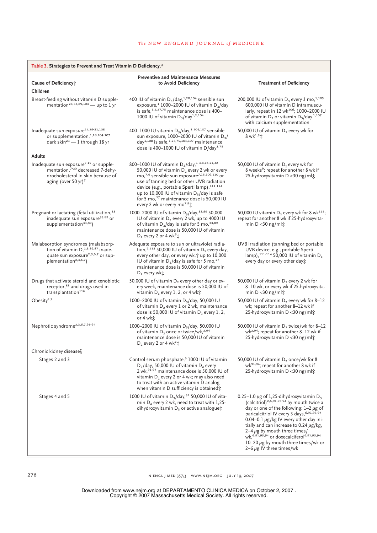| Table 3. Strategies to Prevent and Treat Vitamin D Deficiency.*                                                                                                             |                                                                                                                                                                                                                                                                                                                                                                                                                                                                             |                                                                                                                                                                                                                                                                                                                                                                                                                                                                                          |  |  |
|-----------------------------------------------------------------------------------------------------------------------------------------------------------------------------|-----------------------------------------------------------------------------------------------------------------------------------------------------------------------------------------------------------------------------------------------------------------------------------------------------------------------------------------------------------------------------------------------------------------------------------------------------------------------------|------------------------------------------------------------------------------------------------------------------------------------------------------------------------------------------------------------------------------------------------------------------------------------------------------------------------------------------------------------------------------------------------------------------------------------------------------------------------------------------|--|--|
| Cause of Deficiency;<br>Children                                                                                                                                            | <b>Preventive and Maintenance Measures</b><br>to Avoid Deficiency                                                                                                                                                                                                                                                                                                                                                                                                           | <b>Treatment of Deficiency</b>                                                                                                                                                                                                                                                                                                                                                                                                                                                           |  |  |
| Breast-feeding without vitamin D supple-<br>mentation <sup>28,33,89,104</sup> - up to 1 yr                                                                                  | 400 IU of vitamin $D_3$ /day, <sup>1,28,104</sup> sensible sun<br>exposure, <sup>1</sup> 1000-2000 IU of vitamin D <sub>3</sub> /day<br>is safe, 1,2,27,75 maintenance dose is 400-<br>1000 IU of vitamin $D_3$ /day <sup>1,2,104</sup>                                                                                                                                                                                                                                     | 200,000 IU of vitamin $D_3$ every 3 mo, <sup>1,105</sup><br>600,000 IU of vitamin D intramuscu-<br>larly, repeat in 12 wk <sup>106</sup> ; 1000-2000 IU<br>of vitamin D <sub>2</sub> or vitamin D <sub>3</sub> /day <sup>1,107</sup><br>with calcium supplementation                                                                                                                                                                                                                     |  |  |
| Inadequate sun exposure <sup>24,29-31,108</sup><br>or supplementation, 1,28,104-107<br>dark skin <sup>23</sup> - 1 through 18 yr                                            | 400-1000 IU vitamin D <sub>3</sub> /day, <sup>1,104,107</sup> sensible<br>sun exposure, 1000-2000 IU of vitamin $D_3/$<br>day <sup>1,108</sup> is safe, <sup>1,27,75,104,107</sup> maintenance<br>dose is 400-1000 IU of vitamin D/day <sup>1,75</sup>                                                                                                                                                                                                                      | 50,000 IU of vitamin D <sub>2</sub> every wk for<br>8 wk <sup>1,9</sup> 1                                                                                                                                                                                                                                                                                                                                                                                                                |  |  |
| <b>Adults</b>                                                                                                                                                               |                                                                                                                                                                                                                                                                                                                                                                                                                                                                             |                                                                                                                                                                                                                                                                                                                                                                                                                                                                                          |  |  |
| Inadequate sun exposure <sup>7,15</sup> or supple-<br>mentation, <sup>7-20</sup> decreased 7-dehy-<br>drocholesterol in skin because of<br>aging (over 50 yr) <sup>7</sup>  | 800-1000 IU of vitamin D <sub>3</sub> /day, <sup>1-3,8,16,21,42</sup><br>50,000 IU of vitamin D <sub>2</sub> every 2 wk or every<br>mo, <sup>7,9</sup> sensible sun exposure <sup>7,15,109,110</sup> or<br>use of tanning bed or other UVB radiation<br>device (e.g., portable Sperti lamp), 111-114<br>up to 10,000 IU of vitamin D <sub>3</sub> /day is safe<br>for 5 mo, <sup>27</sup> maintenance dose is 50,000 IU<br>every 2 wk or every mo <sup>7,9</sup> $\ddot{x}$ | 50,000 IU of vitamin $D_2$ every wk for<br>8 weeks <sup>9</sup> ; repeat for another 8 wk if<br>25-hydroxyvitamin D < 30 ng/mlt                                                                                                                                                                                                                                                                                                                                                          |  |  |
| Pregnant or lactating (fetal utilization, <sup>33</sup><br>inadequate sun exposure <sup>33,89</sup> or<br>supplementation <sup>33,89</sup> )                                | 1000–2000 IU of vitamin D <sub>3</sub> /day, <sup>33,89</sup> 50,000<br>IU of vitamin D <sub>2</sub> every 2 wk, up to 4000 IU<br>of vitamin $D_3$ /day is safe for 5 mo, $33,89$<br>maintenance dose is 50,000 IU of vitamin<br>D <sub>2</sub> every 2 or 4 wk <sup>9</sup> $\pm$                                                                                                                                                                                          | 50,000 IU vitamin D <sub>2</sub> every wk for 8 wk <sup>115</sup> ;<br>repeat for another 8 wk if 25-hydroxyvita-<br>min $D < 30$ ng/ml $\ddot{x}$                                                                                                                                                                                                                                                                                                                                       |  |  |
| Malabsorption syndromes (malabsorp-<br>tion of vitamin D, <sup>2,3,86,87</sup> inade-<br>quate sun exposure <sup>2,3,6,7</sup> or sup-<br>plementation <sup>2,3,6,7</sup> ) | Adequate exposure to sun or ultraviolet radia-<br>tion, <sup>7,113</sup> 50,000 IU of vitamin D <sub>2</sub> every day,<br>every other day, or every wk, <sup>+</sup> up to 10,000<br>IU of vitamin $D_3$ /day is safe for 5 mo, <sup>27</sup><br>maintenance dose is 50,000 IU of vitamin<br>$D_2$ every wk $\ddot{x}$                                                                                                                                                     | UVB irradiation (tanning bed or portable<br>UVB device, e.g., portable Sperti<br>lamp), 111-114 50,000 IU of vitamin D <sub>2</sub><br>every day or every other day;                                                                                                                                                                                                                                                                                                                     |  |  |
| Drugs that activate steroid and xenobiotic<br>receptor, <sup>88</sup> and drugs used in<br>transplantation <sup>116</sup>                                                   | 50,000 IU of vitamin D <sub>2</sub> every other day or ev-<br>ery week, maintenance dose is 50,000 IU of<br>vitamin D <sub>2</sub> every 1, 2, or 4 wk $\ddagger$                                                                                                                                                                                                                                                                                                           | 50,000 IU of vitamin D <sub>2</sub> every 2 wk for<br>8-10 wk, or every wk if 25-hydroxyvita-<br>min $D < 30$ ng/ml $\dot{x}$                                                                                                                                                                                                                                                                                                                                                            |  |  |
| Obesity $2,7$                                                                                                                                                               | 1000–2000 IU of vitamin D <sub>3</sub> /day, 50,000 IU<br>of vitamin D <sub>2</sub> every 1 or 2 wk, maintenance<br>dose is 50,000 IU of vitamin $D_2$ every 1, 2,<br>or 4 wk‡                                                                                                                                                                                                                                                                                              | 50,000 IU of vitamin $D_2$ every wk for 8-12<br>wk; repeat for another 8-12 wk if<br>25-hydroxyvitamin D < 30 ng/ml <sup>*</sup>                                                                                                                                                                                                                                                                                                                                                         |  |  |
| Nephrotic syndrome <sup>2,3,6,7,91-94</sup>                                                                                                                                 | 1000-2000 IU of vitamin D <sub>3</sub> /day, 50,000 IU<br>of vitamin D <sub>2</sub> once or twice/wk, <sup>2,94</sup><br>maintenance dose is 50,000 IU of vitamin<br>D <sub>2</sub> every 2 or 4 wk <sup>2</sup> $\ddagger$                                                                                                                                                                                                                                                 | 50,000 IU of vitamin D <sub>2</sub> twice/wk for 8-12<br>$wk^{2,94}$ ; repeat for another 8–12 wk if<br>25-hydroxyvitamin D <30 ng/ml $\ddot{x}$                                                                                                                                                                                                                                                                                                                                         |  |  |
| Chronic kidney diseases                                                                                                                                                     |                                                                                                                                                                                                                                                                                                                                                                                                                                                                             |                                                                                                                                                                                                                                                                                                                                                                                                                                                                                          |  |  |
| Stages 2 and 3                                                                                                                                                              | Control serum phosphate, <sup>6</sup> 1000 IU of vitamin<br>$D_3$ /day, 50,000 IU of vitamin $D_2$ every<br>2 wk, 91,94 maintenance dose is 50,000 IU of<br>vitamin D <sub>2</sub> every 2 or 4 wk; may also need<br>to treat with an active vitamin D analog<br>when vitamin D sufficiency is obtained;                                                                                                                                                                    | 50,000 IU of vitamin D <sub>2</sub> once/wk for 8<br>wk <sup>91,94</sup> ; repeat for another 8 wk if<br>25-hydroxyvitamin D < 30 ng/ml:                                                                                                                                                                                                                                                                                                                                                 |  |  |
| Stages 4 and 5                                                                                                                                                              | 1000 IU of vitamin D <sub>3</sub> /day, <sup>51</sup> 50,000 IU of vita-<br>min $D_2$ every 2 wk, need to treat with 1,25-<br>dihydroxyvitamin D <sub>3</sub> or active analogue;                                                                                                                                                                                                                                                                                           | 0.25-1.0 $\mu$ g of 1,25-dihydroxyvitamin D <sub>3</sub><br>(calcitriol) <sup>2,6,91,93,94</sup> by mouth twice a<br>day or one of the following: $1-2 \mu g$ of<br>paricalcitriol IV every 3 days, 6,91,93,94<br>0.04-0.1 $\mu$ g/kg IV every other day ini-<br>tially and can increase to 0.24 $\mu$ g/kg,<br>2–4 $\mu$ g by mouth three times/<br>wk, 6,91,93,94 or doxecalciferol <sup>6,91,93,94</sup><br>10-20 $\mu$ g by mouth three times/wk or<br>2-6 $\mu$ g IV three times/wk |  |  |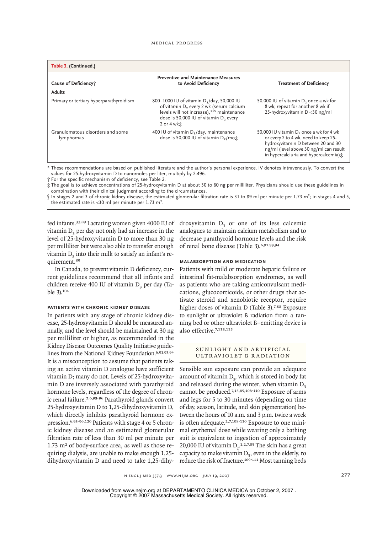| Table 3. (Continued.)                         |                                                                                                                                                                                                                                                       |                                                                                                                                                                                                                       |
|-----------------------------------------------|-------------------------------------------------------------------------------------------------------------------------------------------------------------------------------------------------------------------------------------------------------|-----------------------------------------------------------------------------------------------------------------------------------------------------------------------------------------------------------------------|
| Cause of Deficiency;<br><b>Adults</b>         | <b>Preventive and Maintenance Measures</b><br>to Avoid Deficiency                                                                                                                                                                                     | <b>Treatment of Deficiency</b>                                                                                                                                                                                        |
| Primary or tertiary hyperparathyroidism       | 800-1000 IU of vitamin D <sub>3</sub> /day, 50,000 IU<br>of vitamin D <sub>2</sub> every 2 wk (serum calcium<br>levels will not increase), <sup>115</sup> maintenance<br>dose is 50,000 IU of vitamin D <sub>2</sub> every<br>$2$ or $4$ wk $\dot{x}$ | 50,000 IU of vitamin D <sub>2</sub> once a wk for<br>8 wk; repeat for another 8 wk if<br>25-hydroxyvitamin D < 30 ng/ml                                                                                               |
| Granulomatous disorders and some<br>lymphomas | 400 IU of vitamin $D_3$ /day, maintenance<br>dose is 50,000 IU of vitamin $D_2$ /mo $\dot{x}$                                                                                                                                                         | 50,000 IU vitamin D <sub>2</sub> once a wk for 4 wk<br>or every 2 to 4 wk, need to keep 25-<br>hydroxyvitamin D between 20 and 30<br>ng/ml (level above 30 ng/ml can result<br>in hypercalciuria and hypercalcemia) ± |

\* These recommendations are based on published literature and the author's personal experience. IV denotes intravenously. To convert the values for 25-hydroxyvitamin D to nanomoles per liter, multiply by 2.496.

† For the specific mechanism of deficiency, see Table 2.

‡ The goal is to achieve concentrations of 25-hydroxyvitamin D at about 30 to 60 ng per milliliter. Physicians should use these guidelines in combination with their clinical judgment according to the circumstances.

 $\int$  In stages 2 and 3 of chronic kidney disease, the estimated glomerular filtration rate is 31 to 89 ml per minute per 1.73 m<sup>2</sup>; in stages 4 and 5, the estimated rate is <30 ml per minute per  $1.73 \text{ m}^2$ .

fed infants.<sup>33,89</sup> Lactating women given 4000 IU of droxyvitamin  $D_3$  or one of its less calcemic vitamin  $D<sub>2</sub>$  per day not only had an increase in the level of 25-hydroxyvitamin D to more than 30 ng per milliliter but were also able to transfer enough vitamin  $D<sub>2</sub>$  into their milk to satisfy an infant's requirement.<sup>89</sup>

In Canada, to prevent vitamin D deficiency, current guidelines recommend that all infants and children receive 400 IU of vitamin  $D<sub>2</sub>$  per day (Table 3).<sup>104</sup>

#### **Patients with Chronic Kidney Disease**

In patients with any stage of chronic kidney disease, 25-hydroxyvitamin D should be measured annually, and the level should be maintained at 30 ng per milliliter or higher, as recommended in the Kidney Disease Outcomes Quality Initiative guidelines from the National Kidney Foundation.<sup>6,91,93,94</sup> It is a misconception to assume that patients taking an active vitamin D analogue have sufficient vitamin D; many do not. Levels of 25-hydroxyvitamin D are inversely associated with parathyroid hormone levels, regardless of the degree of chronic renal failure.2,6,93-96 Parathyroid glands convert 25-hydroxyvitamin D to 1,25-dihydroxyvitamin D, which directly inhibits parathyroid hormone expression.6,93-96,120 Patients with stage 4 or 5 chronic kidney disease and an estimated glomerular filtration rate of less than 30 ml per minute per  $1.73$  m<sup>2</sup> of body-surface area, as well as those requiring dialysis, are unable to make enough 1,25 dihydroxyvitamin D and need to take 1,25-dihy-

analogues to maintain calcium metabolism and to decrease parathyroid hormone levels and the risk of renal bone disease (Table 3).6,91,93,94

#### **Malabsorption and Medication**

Patients with mild or moderate hepatic failure or intestinal fat-malabsorption syndromes, as well as patients who are taking anticonvulsant medications, glucocorticoids, or other drugs that activate steroid and xenobiotic receptor, require higher doses of vitamin D (Table 3).<sup>7,88</sup> Exposure to sunlight or ultraviolet B radiation from a tanning bed or other ultraviolet B–emitting device is also effective.7,113,115

#### SUNLIGHT AND ARTIFICIAL Ultraviolet B Radiation

Sensible sun exposure can provide an adequate amount of vitamin  $D_{3}$ , which is stored in body fat and released during the winter, when vitamin  $D<sub>2</sub>$ cannot be produced.7,15,85,108-110 Exposure of arms and legs for 5 to 30 minutes (depending on time of day, season, latitude, and skin pigmentation) between the hours of 10 a.m. and 3 p.m. twice a week is often adequate.<sup>2,7,108-110</sup> Exposure to one minimal erythemal dose while wearing only a bathing suit is equivalent to ingestion of approximately 20,000 IU of vitamin  $D_2$ <sup>1,2,7,85</sup> The skin has a great capacity to make vitamin  $D_3$ , even in the elderly, to reduce the risk of fracture.109-111 Most tanning beds

n engl j med 357;3 www.nejm.org july 19, 2007 277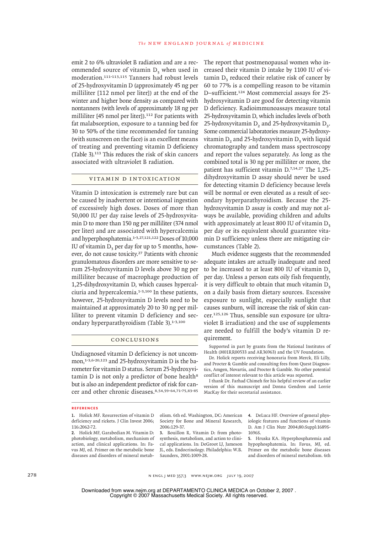The report that postmenopausal women who increased their vitamin D intake by 1100 IU of vitamin D<sub>2</sub> reduced their relative risk of cancer by 60 to 77% is a compelling reason to be vitamin D–sufficient.124 Most commercial assays for 25 hydroxyvitamin D are good for detecting vitamin D deficiency. Radioimmunoassays measure total 25-hydroxyvitamin D, which includes levels of both 25-hydroxyvitamin  $D_2$  and 25-hydroxyvitamin  $D_3$ . Some commercial laboratories measure 25-hydroxyvitamin  $D<sub>2</sub>$  and 25-hydroxyvitamin  $D<sub>3</sub>$  with liquid chromatography and tandem mass spectroscopy and report the values separately. As long as the combined total is 30 ng per milliliter or more, the patient has sufficient vitamin D.7,14,27 The 1,25 dihydroxyvitamin D assay should never be used for detecting vitamin D deficiency because levels will be normal or even elevated as a result of secondary hyperparathyroidism. Because the 25 hydroxyvitamin D assay is costly and may not always be available, providing children and adults with approximately at least 800 IU of vitamin D, per day or its equivalent should guarantee vitamin D sufficiency unless there are mitigating cir-

emit 2 to 6% ultraviolet B radiation and are a recommended source of vitamin D<sub>2</sub> when used in moderation.111-113,115 Tanners had robust levels of 25-hydroxyvitamin D (approximately 45 ng per milliliter [112 nmol per liter]) at the end of the winter and higher bone density as compared with nontanners (with levels of approximately 18 ng per milliliter [45 nmol per liter]).<sup>112</sup> For patients with fat malabsorption, exposure to a tanning bed for 30 to 50% of the time recommended for tanning (with sunscreen on the face) is an excellent means of treating and preventing vitamin D deficiency (Table 3).<sup>113</sup> This reduces the risk of skin cancers associated with ultraviolet B radiation.

# Vitamin D Intoxication

Vitamin D intoxication is extremely rare but can be caused by inadvertent or intentional ingestion of excessively high doses. Doses of more than 50,000 IU per day raise levels of 25-hydroxyvitamin D to more than 150 ng per milliliter (374 nmol per liter) and are associated with hypercalcemia and hyperphosphatemia.<sup>1-3,27,121,122</sup> Doses of 10,000 IU of vitamin  $D<sub>2</sub>$  per day for up to 5 months, however, do not cause toxicity.27 Patients with chronic granulomatous disorders are more sensitive to serum 25-hydroxyvitamin D levels above 30 ng per milliliter because of macrophage production of 1,25-dihydroxyvitamin D, which causes hypercalciuria and hypercalcemia.1-3,100 In these patients, however, 25-hydroxyvitamin D levels need to be maintained at approximately 20 to 30 ng per milliliter to prevent vitamin D deficiency and secondary hyperparathyroidism (Table 3).1-3,100

# Conclusions

Undiagnosed vitamin D deficiency is not uncommon,<sup>1-3,6-20,123</sup> and 25-hydroxyvitamin D is the barometer for vitamin D status. Serum 25-hydroxyvitamin  $D$  is not only a predictor of bone health<sup>8</sup> but is also an independent predictor of risk for cancer and other chronic diseases.<sup>8,54,59-64,71-75,83-85</sup>

#### **References**

1. Holick MF. Resurrection of vitamin D deficiency and rickets. J Clin Invest 2006; 116:2062-72.

Holick MF, Garabedian M. Vitamin D: **2.** photobiology, metabolism, mechanism of action, and clinical applications. In: Favus MJ, ed. Primer on the metabolic bone diseases and disorders of mineral metabolism. 6th ed. Washington, DC: American Society for Bone and Mineral Research, 2006:129-37.

quirement.

cumstances (Table 2).

Much evidence suggests that the recommended adequate intakes are actually inadequate and need to be increased to at least 800 IU of vitamin  $D<sub>2</sub>$ per day. Unless a person eats oily fish frequently, it is very difficult to obtain that much vitamin  $D<sub>2</sub>$ on a daily basis from dietary sources. Excessive exposure to sunlight, especially sunlight that causes sunburn, will increase the risk of skin cancer.125,126 Thus, sensible sun exposure (or ultraviolet B irradiation) and the use of supplements are needed to fulfill the body's vitamin D re-

Supported in part by grants from the National Institutes of Health (M01RR00533 and AR36963) and the UV Foundation. Dr. Holick reports receiving honoraria from Merck, Eli Lilly, and Procter & Gamble and consulting fees from Quest Diagnostics, Amgen, Novartis, and Procter & Gamble. No other potential conflict of interest relevant to this article was reported. I thank Dr. Farhad Chimeh for his helpful review of an earlier version of this manuscript and Donna Gendron and Lorrie

MacKay for their secretarial assistance.

3. Bouillon R. Vitamin D: from photosynthesis, metabolism, and action to clinical applications. In: DeGroot LJ, Jameson JL, eds. Endocrinology. Philadelphia: W.B. Saunders, 2001-1009-28.

DeLuca HF. Overview of general phys-**4.** iologic features and functions of vitamin D. Am J Clin Nutr 2004;80:Suppl:1689S-1696S.

5. Hruska KA. Hyperphosphatemia and hypophosphatemia. In: Favus, MJ, ed. Primer on the metabolic bone diseases and disorders of mineral metabolism. 6th

278 n engl j med 357;3 www.nejm.org july 19, 2007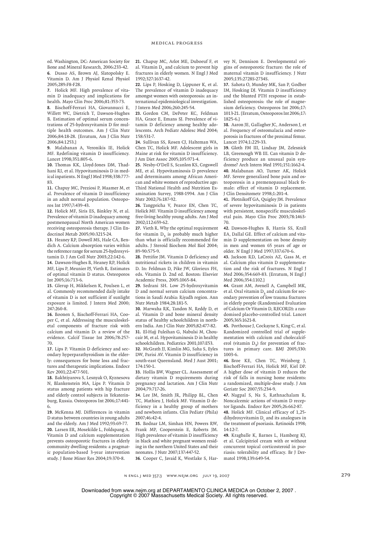ed. Washington, DC: American Society for Bone and Mineral Research, 2006:233-42. Dusso AS, Brown AJ, Slatopolsky E. **6.** Vitamin D. Am J Physiol Renal Physiol 2005;289:F8-F28.

7. Holick MF. High prevalence of vitamin D inadequacy and implications for health. Mayo Clin Proc 2006;81:353-73.

Bischoff-Ferrari HA, Giovannucci E, **8.** Willett WC, Dietrich T, Dawson-Hughes B. Estimation of optimal serum concentrations of 25-hydroxyvitamin D for multiple health outcomes. Am J Clin Nutr 2006;84:18-28. [Erratum, Am J Clin Nutr 2006;84:1253.]

Malabanan A, Veronikis IE, Holick **9.** MF. Redefining vitamin D insufficiency. Lancet 1998;351:805-6.

10. Thomas KK, Lloyd-Jones DM, Thadhani RI, et al. Hypovitaminosis D in medical inpatients. N Engl J Med 1998;338:777- 83.

11. Chapuy MC, Preziosi P, Maamer M, et al. Prevalence of vitamin D insufficiency in an adult normal population. Osteoporos Int 1997;7:439-43.

12. Holick MF, Siris ES, Binkley N, et al. Prevalence of vitamin D inadequacy among postmenopausal North American women receiving osteoporosis therapy. J Clin Endocrinol Metab 2005;90:3215-24.

13. Heaney RP, Dowell MS, Hale CA, Bendich A. Calcium absorption varies within the reference range for serum 25-hydroxyvitamin D. J Am Coll Nutr 2003;22:142-6.

14. Dawson-Hughes B, Heaney RP, Holick MF, Lips P, Meunier PJ, Vieth R. Estimates of optimal vitamin D status. Osteoporos Int 2005;16:713-6.

15. Glerup H, Mikkelsen K, Poulsen L, et al. Commonly recommended daily intake of vitamin D is not sufficient if sunlight exposure is limited. J Intern Med 2000; 247:260-8.

16. Boonen S, Bischoff-Ferrari HA, Cooper C, et al. Addressing the musculoskeletal components of fracture risk with calcium and vitamin D: a review of the evidence. Calcif Tissue Int 2006;78:257- 70.

17. Lips P. Vitamin D deficiency and secondary hyperparathyroidism in the elderly: consequences for bone loss and fractures and therapeutic implications. Endocr Rev 2001;22:477-501.

Bakhtiyarova S, Lesnyak O, Kyznesova **18.** N, Blankenstein MA, Lips P. Vitamin D status among patients with hip fracture and elderly control subjects in Yekaterinburg, Russia. Osteoporos Int 2006;17:441- 6.

19. McKenna MJ. Differences in vitamin D status between countries in young adults and the elderly. Am J Med 1992;93:69-77. Larsen ER, Mosekilde L, Foldspang A. **20.** Vitamin D and calcium supplementation prevents osteoporotic fractures in elderly community dwelling residents: a pragmatic population-based 3-year intervention study. J Bone Miner Res 2004;19:370-8.

21. Chapuy MC, Arlot ME, Duboeuf F, et al. Vitamin  $D<sub>s</sub>$  and calcium to prevent hip fractures in elderly women. N Engl J Med 1992;327:1637-42.

22. Lips P, Hosking D, Lippuner K, et al. The prevalence of vitamin D inadequacy amongst women with osteoporosis: an international epidemiological investigation. J Intern Med 2006;260:245-54.

23. Gordon CM, DePeter KC, Feldman HA, Grace E, Emans SJ. Prevalence of vitamin D deficiency among healthy adolescents. Arch Pediatr Adolesc Med 2004; 158:531-7.

24. Sullivan SS, Rosen CJ, Halteman WA, Chen TC, Holick MF. Adolescent girls in Maine at risk for vitamin D insufficiency. J Am Diet Assoc 2005;105:971-4.

Nesby-O'Dell S, Scanlon KS, Cogswell **25.** ME, et al. Hypovitaminosis D prevalence and determinants among African American and white women of reproductive age: Third National Health and Nutrition Examination Survey, 1988-1994. Am J Clin Nutr 2002;76:187-92.

26. Tangpricha V, Pearce EN, Chen TC, Holick MF. Vitamin D insufficiency among free-living healthy young adults. Am J Med 2002;112:659-62.

27. Vieth R. Why the optimal requirement for vitamin  $D<sub>2</sub>$  is probably much higher than what is officially recommended for adults. J Steroid Biochem Mol Biol 2004; 89-90:575-9.

28. Pettifor JM. Vitamin D deficiency and nutritional rickets in children in vitamin D. In: Feldman D, Pike JW, Glorieux FH, eds. Vitamin D. 2nd ed. Boston: Elsevier Academic Press, 2005:1065-84.

29. Sedrani SH. Low 25-hydroxyvitamin D and normal serum calcium concentrations in Saudi Arabia: Riyadh region. Ann Nutr Metab 1984;28:181-5.

30. Marwaha RK, Tandon N, Reddy D, et al. Vitamin D and bone mineral density status of healthy schoolchildren in northern India. Am J Clin Nutr 2005;82:477-82. El-Hajj Fuleihan G, Nabulsi M, Chou-**31.** cair M, et al. Hypovitaminosis D in healthy schoolchildren. Pediatrics 2001;107:E53.

McGrath JJ, Kimlin MG, Saha S, Eyles **32.** DW, Parisi AV. Vitamin D insufficiency in south-east Queensland. Med J Aust 2001; 174:150-1.

33. Hollis BW, Wagner CL. Assessment of dietary vitamin D requirements during pregnancy and lactation. Am J Clin Nutr 2004;79:717-26.

34. Lee JM, Smith JR, Philipp BL, Chen TC, Mathieu J, Holick MF. Vitamin D deficiency in a healthy group of mothers and newborn infants. Clin Pediatr (Phila) 2007;46:42-4.

Bodnar LM, Simhan HN, Powers RW, **35.** Frank MP, Cooperstein E, Roberts JM. High prevalence of vitamin D insufficiency in black and white pregnant women residing in the northern United States and their neonates. J Nutr 2007;137:447-52.

36. Cooper C, Javaid K, Westlake S, Har-

vey N, Dennison E. Developmental origins of osteoporotic fracture: the role of maternal vitamin D insufficiency. J Nutr 2005;135:2728S-2734S.

37. Sahota O, Mundey MK, San P, Godber IM, Hosking DJ. Vitamin D insufficiency and the blunted PTH response in established osteoporosis: the role of magnesium deficiency. Osteoporos Int 2006;17: 1013-21. [Erratum, Osteoporos Int 2006;17: 1825-6.]

Aaron JE, Gallagher JC, Anderson J, et **38.** al. Frequency of osteomalacia and osteoporosis in fractures of the proximal femur. Lancet 1974;1:229-33.

Gloth FM III, Lindsay JM, Zelesnick **39.** LB, Greenough WB III. Can vitamin D deficiency produce an unusual pain syndrome? Arch Intern Med 1991;151:1662-4. Malabanan AO, Turner AK, Holick **40.** MF. Severe generalized bone pain and osteoporosis in a premenopausal black female: effect of vitamin D replacement. J Clin Densitometr 1998;1:201-4.

41. Plotnikoff GA, Quigley JM. Prevalence of severe hypovitaminosis D in patients with persistent, nonspecific musculoskeletal pain. Mayo Clin Proc 2003;78:1463- 70.

42. Dawson-Hughes B, Harris SS, Krall EA, Dallal GE. Effect of calcium and vitamin D supplementation on bone density in men and women 65 years of age or older. N Engl J Med 1997;337:670-6.

43. Jackson RD, LaCroix AZ, Gass M, et al. Calcium plus vitamin D supplementation and the risk of fractures. N Engl J Med 2006;354:669-83. [Erratum, N Engl J Med 2006;354:1102.]

44. Grant AM, Avenell A, Campbell MK, et al. Oral vitamin D<sub>2</sub> and calcium for secondary prevention of low trauma fractures in elderly people (Randomised Evaluation of Calcium Or Vitamin D, RECORD): a randomised placebo-controlled trial. Lancet 2005;365:1621-8.

**45.** Porthouse J, Cockayne S, King C, et al. Randomized controlled trial of supplementation with calcium and cholecalciferol (vitamin  $D_2$ ) for prevention of fractures in primary care. BMJ 2005;330: 1003-6.

Broe KE, Chen TC, Weinberg J, **46.** Bischoff-Ferrari HA, Holick MF, Kiel DP. A higher dose of vitamin D reduces the risk of falls in nursing home residents: a randomized, multiple-dose study. J Am Geriatr Soc 2007;55:234-9.

Nagpal S, Na S, Rathnachalam R. **47.** Noncalcemic actions of vitamin D receptor ligands. Endocr Rev 2005;26:662-87. 48. Holick MF. Clinical efficacy of 1,25-

dihydroxyvitamin  $D_3$  and its analogues in the treatment of psoriasis. Retinoids 1998; 14:12-7.

49. Kragballe K, Barnes L, Hamberg KJ, et al. Calcipitriol cream with or without concurrent topical corticosteroid in psoriasis: tolerability and efficacy. Br J Dermatol 1998;139:649-54.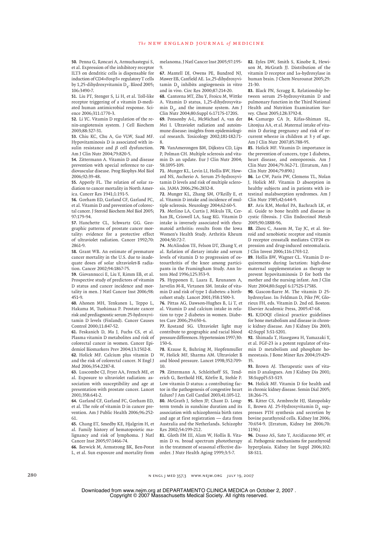50. Penna G, Roncari A, Armuchastegui S, et al. Expression of the inhibitory receptor ILT3 on dendritic cells is dispensable for induction of CD4+Foxp3+ regulatory T cells by 1,25-dihydroxyvitamin  $D<sub>2</sub>$ . Blood 2005; 106:3490-7.

51. Liu PT, Stenger S, Li H, et al. Toll-like receptor triggering of a vitamin D-mediated human antimicrobial response. Science 2006;311:1770-3.

52. Li YC. Vitamin D regulation of the renin-angiotensin system. J Cell Biochem 2003;88:327-31.

53. Chiu KC, Chu A, Go VLW, Saad MF. Hypovitaminosis D is associated with insulin resistance and  $\beta$  cell dysfunction. Am J Clin Nutr 2004;79:820-5.

54. Zittermann A. Vitamin D and disease prevention with special reference to cardiovascular disease. Prog Biophys Mol Biol 2006;92:39-48.

**55.** Apperly FL. The relation of solar radiation to cancer mortality in North America. Cancer Res 1941;1:191-5.

Gorham ED, Garland CF, Garland FC, **56.** et al. Vitamin D and prevention of colorectal cancer. J Steroid Biochem Mol Biol 2005; 97:179-94.

57. Hanchette CL, Schwartz GG. Geographic patterns of prostate cancer mortality: evidence for a protective effect of ultraviolet radiation. Cancer 1992;70: 2861-9.

58. Grant WB. An estimate of premature cancer mortality in the U.S. due to inadequate doses of solar ultraviolet-B radiation. Cancer 2002;94:1867-75.

Giovannucci E, Liu Y, Rimm EB, et al. **59.** Prospective study of predictors of vitamin D status and cancer incidence and mortality in men. J Natl Cancer Inst 2006;98: 451-9.

Ahonen MH, Tenkanen L, Teppo L, **60.** Hakama M, Tuohimaa P. Prostate cancer risk and prediagnostic serum 25-hydroxyvitamin D levels (Finland). Cancer Causes Control 2000;11:847-52.

Feskanich D, Ma J, Fuchs CS, et al. **61.** Plasma vitamin D metabolites and risk of colorectal cancer in women. Cancer Epidemiol Biomarkers Prev 2004;13:1502-8. 62. Holick MF. Calcium plus vitamin D and the risk of colorectal cancer. N Engl J Med 2006;354:2287-8.

Luscombe CJ, Fryer AA, French ME, et **63.** al. Exposure to ultraviolet radiation: association with susceptibility and age at presentation with prostate cancer. Lancet 2001;358:641-2.

Garland CF, Garland FC, Gorham ED, **64.** et al. The role of vitamin D in cancer prevention. Am J Public Health 2006;96:252- 61.

Chang ET, Smedby KE, Hjalgrim H, et **65.** al. Family history of hematopoietic malignancy and risk of lymphoma. J Natl Cancer Inst 2005;97:1466-74.

66. Berwick M, Armstrong BK, Ben-Porat L, et al. Sun exposure and mortality from

melanoma. J Natl Cancer Inst 2005;97:195-  $\overline{Q}$ 

67. Mantell DJ, Owens PE, Bundred NJ, Mawer EB, Canfield AE. 1α,25-dihydroxyvitamin  $D<sub>2</sub>$  inhibits angiogenesis in vitro and in vivo. Circ Res 2000;87:214-20.

Cantorna MT, Zhu Y, Froicu M, Wittke **68.** A. Vitamin D status, 1,25-dihydroxyvitamin  $D_3$ , and the immune system. Am J Clin Nutr 2004;80:Suppl 6:1717S-1720S.

69. Ponsonby A-L, McMichael A, van der Mei I. Ultraviolet radiation and autoimmune disease: insights from epidemiological research. Toxicology 2002;181-182:71- 8.

70. VanAmerongen BM, Dijkstra CD, Lips P, Polman CH. Multiple sclerosis and vitamin D: an update. Eur J Clin Nutr 2004; 58:1095-109.

71. Munger KL, Levin LI, Hollis BW, Howard NS, Ascherio A. Serum 25-hydroxyvitamin D levels and risk of multiple sclerosis. JAMA 2006;296:2832-8.

72. Munger KL, Zhang SM, O'Reilly E, et al. Vitamin D intake and incidence of multiple sclerosis. Neurology 2004;62:60-5.

73. Merlino LA, Curtis J, Mikuls TR, Cerhan JR, Criswell LA, Saag KG. Vitamin D intake is inversely associated with rheumatoid arthritis: results from the Iowa Women's Health Study. Arthritis Rheum 2004;50:72-7.

74. McAlindon TE, Felson DT, Zhang Y, et al. Relation of dietary intake and serum levels of vitamin D to progression of osteoarthritis of the knee among participants in the Framingham Study. Ann Intern Med 1996;125:353-9.

75. Hypponen E, Laara E, Reunanen A, Jarvelin M-R, Virtanen SM. Intake of vitamin D and risk of type 1 diabetes: a birthcohort study. Lancet 2001;358:1500-3.

76. Pittas AG, Dawson-Hughes B, Li T, et al. Vitamin D and calcium intake in relation to type 2 diabetes in women. Diabetes Care 2006;29:650-6.

77. Rostand SG. Ultraviolet light may contribute to geographic and racial blood pressure differences. Hypertension 1997;30: 150-6.

78. Krause R, Buhring M, Hopfenmuller W, Holick MF, Sharma AM. Ultraviolet B and blood pressure. Lancet 1998;352:709- 10.

Zittermann A, Schleithoff SS, Tend-**79.** erich G, Berthold HK, Körfre R, Stehle P. Low vitamin D status: a contributing factor in the pathogenesis of congestive heart failure? J Am Coll Cardiol 2003;41:105-12. 80. McGrath J, Selten JP, Chant D. Longterm trends in sunshine duration and its association with schizophrenia birth rates and age at first registration — data from Australia and the Netherlands. Schizophr Res 2002;54:199-212.

Gloth FM III, Alam W, Hollis B. Vita-**81.** min D vs. broad spectrum phototherapy in the treatment of seasonal effective disorder. J Nutr Health Aging 1999;3:5-7.

Eyles DW, Smith S, Kinobe R, Hewi-**82.** son M, McGrath JJ. Distribution of the vitamin D receptor and  $1\alpha$ -hydroxylase in human brain. J Chem Neuroanat 2005;29: 21-30.

Black PN, Scragg R. Relationship be-**83.** tween serum 25-hydroxyvitamin D and pulmonary function in the Third National Health and Nutrition Examination Survey. Chest 2005;128:3792-8.

Camargo CA Jr, Rifas-Shiman SL, **84.** Litonjua AA, et al. Maternal intake of vitamin D during pregnancy and risk of recurrent wheeze in children at 3 y of age. Am J Clin Nutr 2007;85:788-95.

85. Holick MF. Vitamin D: importance in the prevention of cancers, type 1 diabetes, heart disease, and osteoporosis. Am J Clin Nutr 2004;79:362-71. [Erratum, Am J Clin Nutr 2004;79:890.]

86. Lo CW, Paris PW, Clemens TL, Nolan J, Holick MF. Vitamin D absorption in healthy subjects and in patients with intestinal malabsorption syndromes. Am J Clin Nutr 1985;42:644-9.

**87.** Aris RM, Merkel PA, Bachrach LK, et al. Guide to bone health and disease in cystic fibrosis. J Clin Endocrinol Metab 2005;90:1888-96.

**88.** Zhou C, Assem M, Tay JC, et al. Steroid and xenobiotic receptor and vitamin D receptor crosstalk mediates CYP24 expression and drug-induced osteomalacia. J Clin Invest 2006;116:1703-12.

Hollis BW, Wagner CL. Vitamin D re-**89.** quirements during lactation: high-dose maternal supplementation as therapy to prevent hypovitaminosis D for both the mother and the nursing infant. Am J Clin Nutr 2004;80:Suppl 6:1752S-1758S.

Gascon-Barre M. The vitamin D 25- **90.** hydroxylase. In: Feldman D, Pike JW, Glorieux FH, eds. Vitamin D. 2nd ed. Boston: Elsevier Academic Press, 2005:47-68.

K/DOQI clinical practice guidelines **91.** for bone metabolism and disease in chronic kidney disease. Am J Kidney Dis 2003; 42:Suppl 3:S1-S201.

**92.** Shimada T, Hasegawa H, Yamazaki Y, et al. FGF-23 is a potent regulator of vitamin D metabolism and phosphate homeostasis. J Bone Miner Res 2004;19:429- 35.

93. Brown AJ. Therapeutic uses of vitamin D analogues. Am J Kidney Dis 2001; 38:Suppl5:S3-S19.

**94.** Holick MF. Vitamin D for health and in chronic kidney disease. Semin Dial 2005; 18:266-75.

95. Ritter CS, Armbrecht HJ, Slatopolsky E, Brown AJ. 25-Hydroxyvitamin D<sub>2</sub> suppresses PTH synthesis and secretion by bovine parathyroid cells. Kidney Int 2006; 70:654-9. [Erratum, Kidney Int 2006;70: 1190.]

**96.** Dusso AS, Sato T, Arcidiacono MV, et al. Pathogenic mechanisms for parathyroid hyperplasia. Kidney Int Suppl 2006;102: S8-S11.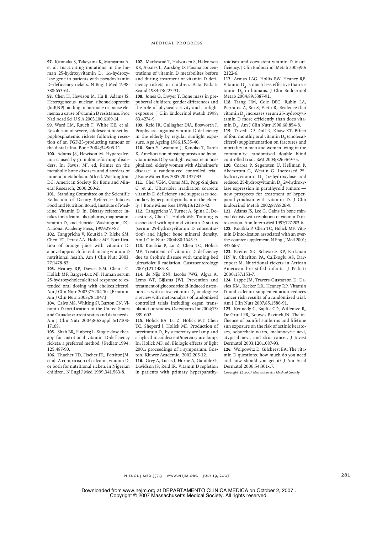97. Kitanaka S, Takeyama K, Murayama A, et al. Inactivating mutations in the human 25-hydroxyvitamin D<sub>2</sub> 1 $\alpha$ -hydroxylase gene in patients with pseudovitamin D–deficiency rickets. N Engl J Med 1998; 338:653-61.

Chen H, Hewison M, Hu B, Adams JS. **98.** Heterogeneous nuclear ribonucleoprotein (hnRNP) binding to hormone response elements: a cause of vitamin D resistance. Proc Natl Acad Sci U S A 2003;100:6109-14.

Ward LM, Rauch F, White KE, et al. **99.** Resolution of severe, adolescent-onset hypophosphatemic rickets following resection of an FGF-23-producting tumour of the distal ulna. Bone 2004;34:905-11.

100. Adams JS, Hewison M. Hypercalcemia caused by granuloma-forming disorders. In: Favus, MJ, ed, Primer on the metabolic bone diseases and disorders of mineral metabolism. 6th ed. Washington, DC: American Society for Bone and Mineral Research, 2006:200-2.

101. Standing Committee on the Scientific Evaluation of Dietary Reference Intakes Food and Nutrition Board, Institute of Medicine. Vitamin D. In: Dietary reference intakes for calcium, phosphorus, magnesium, vitamin D, and fluoride. Washington, DC: National Academy Press, 1999:250-87.

102. Tangpricha V, Koutkia P, Rieke SM, Chen TC, Perez AA, Holick MF. Fortification of orange juice with vitamin D: a novel approach for enhancing vitamin D nutritional health. Am J Clin Nutr 2003; 77:1478-83.

103. Heaney RP, Davies KM, Chen TC, Holick MF, Barger-Lux MJ. Human serum 25-hydroxycholecalciferol response to extended oral dosing with cholecalciferol. Am J Clin Nutr 2003;77:204-10. [Erratum, Am J Clin Nutr 2003-78-10471

104. Calvo MS, Whiting SJ, Barton CN. Vitamin D fortification in the United States and Canada: current status and data needs. Am J Clin Nutr 2004;80:Suppl 6:1710S-1716S.

105. Shah BR, Finberg L. Single-dose therapy for nutritional vitamin D-deficiency rickets: a preferred method. J Pediatr 1994; 125:487-90.

106. Thacher TD, Fischer PR, Pettifor JM, et al. A comparison of calcium, vitamin D, or both for nutritional rickets in Nigerian children. N Engl J Med 1999;341:563-8.

107. Markestad T, Halvorsen S, Halvorsen KS, Aksnes L, Aarskog D. Plasma concentrations of vitamin D metabolites before and during treatment of vitamin D deficiency rickets in children. Acta Padiatr Scand 1984;73:225-31.

108. Jones G, Dwyer T. Bone mass in prepubertal children: gender differences and the role of physical activity and sunlight exposure. J Clin Endocrinol Metab 1998;  $83.4274 - 9$ .

109. Reid IR, Gallagher DJA, Bosworth J. Prophylaxis against vitamin D deficiency in the elderly by regular sunlight exposure. Age Ageing 1986;15:35-40.

110. Sato Y, Iwamoto J, Kanoko T, Satoh K. Amelioration of osteoporosis and hypovitaminosis D by sunlight exposure in hospitalized, elderly women with Alzheimer's disease: a randomized controlled trial. J Bone Miner Res 2005;20:1327-33.

111. Chel VGM, Ooms ME, Popp-Snijders C, et al. Ultraviolet irradiation corrects vitamin D deficiency and suppresses secondary hyperparathyroidism in the elderly. J Bone Miner Res 1998;13:1238-42.

112. Tangpricha V, Turner A, Spina C, Decastro S, Chen T, Holick MF. Tanning is associated with optimal vitamin D status (serum 25-hydroxyvitamin D concentration) and higher bone mineral density. Am J Clin Nutr 2004;80:1645-9.

113. Koutkia P, Lu Z, Chen TC, Holick MF. Treatment of vitamin D deficiency due to Crohn's disease with tanning bed ultraviolet B radiation. Gastroenterology 2001;121:1485-8.

114. de Nijs RNJ, Jacobs JWG, Algra A, Lems WF, Bijlsma JWJ. Prevention and treatment of glucocorticoid-induced osteoporosis with active vitamin D<sub>2</sub> analogues: a review with meta-analysis of randomized controlled trials including organ transplantation studies. Osteoporos Int 2004;15: 589-602.

115. Holick EA, Lu Z, Holick MT, Chen TC, Sheperd J, Holick MF. Production of previtamin  $D_3$  by a mercury arc lamp and a hybrid incandescent/mercury arc lamp. In: Holick MF, ed. Biologic effects of light 2001: proceedings of a symposium. Boston: Kluwer Academic, 2002:205-12.

116. Grey A, Lucas J, Horne A, Gamble G, Davidson JS, Reid IR. Vitamin D repletion in patients with primary hyperparathyroidism and coexistent vitamin D insufficiency. J Clin Endocrinol Metab 2005;90: 2122-6.

Armas LAG, Hollis BW, Heaney RP. **117.** Vitamin  $D<sub>2</sub>$  is much less effective than vitamin  $D_2$  in humans. J Clin Endocrinol Metab 2004;89:5387-91.

118. Trang HM, Cole DEC, Rubin LA, Pierratos A, Siu S, Vieth R. Evidence that vitamin D<sub>2</sub> increases serum 25-hydroxyvitamin D more efficiently than does vitamin D<sub>2</sub>. Am J Clin Nutr 1998;68:854-8.

119. Trivedi DP, Doll R, Khaw KT. Effect of four monthly oral vitamin  $D<sub>2</sub>$  (cholecalciferol) supplementation on fractures and mortality in men and women living in the community: randomised double blind controlled trial. BMJ 2003;326:469-75.

120. Correa P, Segersten U, Hellman P, Akerstrom G, Westin G. Increased 25 hydroxyvitamin  $D_3$  1 $\alpha$ -hydroxylase and reduced 25-hydroxyvitamin D<sub>3</sub> 24-hydroxylase expression in parathyroid tumors new prospects for treatment of hyperparathyroidism with vitamin D. J Clin Endocrinol Metab 2002;87:5826-9.

121. Adams JS, Lee G. Gains in bone mineral denisty with resolution of vitamin D intoxication. Ann Intern Med 1997;127:203-6. 122. Koutkia P, Chen TC, Holick MF. Vitamin D intoxication associated with an overthe-counter supplement. N Engl J Med 2001; 345:66-7.

123. Kreiter SR, Schwartz RP, Kirkman HN Jr, Charlton PA, Calikoglu AS, Davenport M. Nutritional rickets in African American breast-fed infants. J Pediatr 2000;137:153-7.

124. Lappe JM, Travers-Gustafson D, Davies KM, Recker RR, Heaney RP. Vitamin D and calcium supplementation reduces cancer risk: results of a randomized trial. Am J Clin Nutr 2007;85:1586-91.

125. Kennedy C, Bajdik CD, Willemze R, De Gruijl FR, Bouwes Bavinck JN. The influence of painful sunburns and lifetime sun exposure on the risk of actinic keratoses, seborrheic warts, melanocytic nevi, atypical nevi, and skin cancer. J Invest Dermatol 2003;120:1087-93.

126. Wolpowitz D, Gilchrest BA. The vitamin D questions: how much do you need and how should you get it? J Am Acad Dermatol 2006;54:301-17.

*Copyright © 2007 Massachusetts Medical Society.*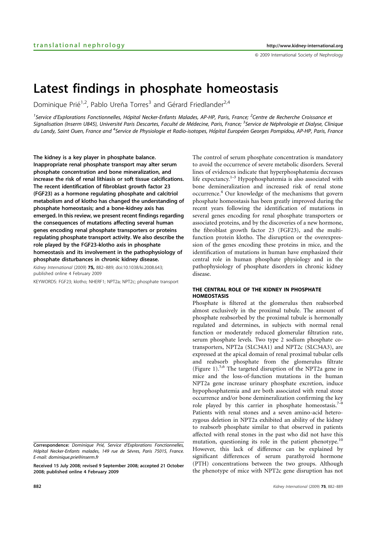& 2009 International Society of Nephrology

# Latest findings in phosphate homeostasis

Dominique Prié<sup>1,2</sup>, Pablo Ureña Torres<sup>3</sup> and Gérard Friedlander<sup>2,4</sup>

<sup>1</sup>Service d'Explorations Fonctionnelles, Hôpital Necker-Enfants Malades, AP-HP, Paris, France; <sup>2</sup>Centre de Recherche Croissance et Signalisation (Inserm U845), Université Paris Descartes, Faculté de Médecine, Paris, France; <sup>3</sup>Service de Néphrologie et Dialyse, Clinique du Landy, Saint Ouen, France and <sup>4</sup>Service de Physiologie et Radio-isotopes, Hôpital Européen Georges Pompidou, AP-HP, Paris, France

The kidney is a key player in phosphate balance. Inappropriate renal phosphate transport may alter serum phosphate concentration and bone mineralization, and increase the risk of renal lithiasis or soft tissue calcifications. The recent identification of fibroblast growth factor 23 (FGF23) as a hormone regulating phosphate and calcitriol metabolism and of klotho has changed the understanding of phosphate homeostasis; and a bone–kidney axis has emerged. In this review, we present recent findings regarding the consequences of mutations affecting several human genes encoding renal phosphate transporters or proteins regulating phosphate transport activity. We also describe the role played by the FGF23–klotho axis in phosphate homeostasis and its involvement in the pathophysiology of phosphate disturbances in chronic kidney disease.

Kidney International (2009) 75, 882–889; doi:10.1038/ki.2008.643; published online 4 February 2009

KEYWORDS: FGF23; klotho; NHERF1; NPT2a; NPT2c; phosphate transport

The control of serum phosphate concentration is mandatory to avoid the occurrence of severe metabolic disorders. Several lines of evidences indicate that hyperphosphatemia decreases life expectancy.<sup>1–3</sup> Hypophosphatemia is also associated with bone demineralization and increased risk of renal stone occurrence.4 Our knowledge of the mechanisms that govern phosphate homeostasis has been greatly improved during the recent years following the identification of mutations in several genes encoding for renal phosphate transporters or associated proteins, and by the discoveries of a new hormone, the fibroblast growth factor 23 (FGF23), and the multifunction protein klotho. The disruption or the overexpression of the genes encoding these proteins in mice, and the identification of mutations in human have emphasized their central role in human phosphate physiology and in the pathophysiology of phosphate disorders in chronic kidney disease.

# THE CENTRAL ROLE OF THE KIDNEY IN PHOSPHATE HOMEOSTASIS

Phosphate is filtered at the glomerulus then reabsorbed almost exclusively in the proximal tubule. The amount of phosphate reabsorbed by the proximal tubule is hormonally regulated and determines, in subjects with normal renal function or moderately reduced glomerular filtration rate, serum phosphate levels. Two type 2 sodium phosphate cotransporters, NPT2a (SLC34A1) and NPT2c (SLC34A3), are expressed at the apical domain of renal proximal tubular cells and reabsorb phosphate from the glomerulus filtrate (Figure 1).5,6 The targeted disruption of the NPT2a gene in mice and the loss-of-function mutations in the human NPT2a gene increase urinary phosphate excretion, induce hypophosphatemia and are both associated with renal stone occurrence and/or bone demineralization confirming the key role played by this carrier in phosphate homeostasis.<sup>7</sup> Patients with renal stones and a seven amino-acid heterozygous deletion in NPT2a exhibited an ability of the kidney to reabsorb phosphate similar to that observed in patients affected with renal stones in the past who did not have this mutation, questioning its role in the patient phenotype. $^{10}$ However, this lack of difference can be explained by significant differences of serum parathyroid hormone (PTH) concentrations between the two groups. Although the phenotype of mice with NPT2c gene disruption has not

Correspondence: Dominique Prié, Service d'Explorations Fonctionnelles, Hôpital Necker-Enfants malades, 149 rue de Sèvres, Paris 75015, France. E-mail: dominique.prie@inserm.fr

Received 15 July 2008; revised 9 September 2008; accepted 21 October 2008; published online 4 February 2009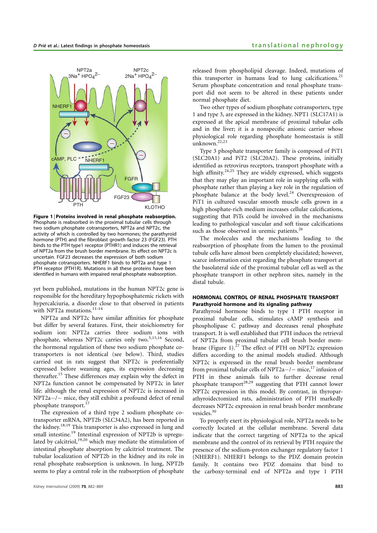

Figure 1 | Proteins involved in renal phosphate reabsorption. Phosphate is reabsorbed in the proximal tubular cells through two sodium phosphate cotransporters, NPT2a and NPT2c, the activity of which is controlled by two hormones; the parathyroid hormone (PTH) and the fibroblast growth factor 23 (FGF23). PTH binds to the PTH type1 receptor (PTHR1) and induces the retrieval of NPT2a from the brush border membrane. Its effect on NPT2c is uncertain. FGF23 decreases the expression of both sodium phosphate cotransporters. NHERF1 binds to NPT2a and type 1 PTH receptor (PTH1R). Mutations in all these proteins have been identified in humans with impaired renal phosphate reabsorption.

yet been published, mutations in the human NPT2c gene is responsible for the hereditary hypophosphatemic rickets with hypercalciuria, a disorder close to that observed in patients with NPT2a mutations.<sup>11-14</sup>

NPT2a and NPT2c have similar affinities for phosphate but differ by several features. First, their stoichiometry for sodium ion: NPT2a carries three sodium ions with phosphate, whereas NPT2c carries only two.<sup>5,15,16</sup> Second. the hormonal regulation of these two sodium phosphate cotransporters is not identical (see below). Third, studies carried out in rats suggest that NPT2c is preferentially expressed before weaning ages, its expression decreasing thereafter.15 These differences may explain why the defect in NPT2a function cannot be compensated by NPT2c in later life: although the renal expression of NPT2c is increased in  $NPT2a-/-$  mice, they still exhibit a profound defect of renal phosphate transport.<sup>17</sup>

The expression of a third type 2 sodium phosphate cotransporter mRNA, NPT2b (SLC34A2), has been reported in the kidney.18,19 This transporter is also expressed in lung and small intestine.<sup>19</sup> Intestinal expression of NPT2b is upregulated by calcitriol, $19,20$  which may mediate the stimulation of intestinal phosphate absorption by calcitriol treatment. The tubular localization of NPT2b in the kidney and its role in renal phosphate reabsorption is unknown. In lung, NPT2b seems to play a central role in the reabsorption of phosphate released from phospholipid cleavage. Indeed, mutations of this transporter in humans lead to lung calcifications. $21$ Serum phosphate concentration and renal phosphate transport did not seem to be altered in these patients under normal phosphate diet.

Two other types of sodium phosphate cotransporters, type 1 and type 3, are expressed in the kidney. NPT1 (SLC17A1) is expressed at the apical membrane of proximal tubular cells and in the liver; it is a nonspecific anionic carrier whose physiological role regarding phosphate homeostasis is still unknown.22,23

Type 3 phosphate transporter family is composed of PiT1 (SLC20A1) and PiT2 (SLC20A2). These proteins, initially identified as retrovirus receptors, transport phosphate with a high affinity.<sup>24,25</sup> They are widely expressed, which suggests that they may play an important role in supplying cells with phosphate rather than playing a key role in the regulation of phosphate balance at the body level.<sup>24</sup> Overexpression of PiT1 in cultured vascular smooth muscle cells grown in a high phosphate-rich medium increases cellular calcifications, suggesting that PiTs could be involved in the mechanisms leading to pathological vascular and soft tissue calcifications such as those observed in uremic patients.<sup>26</sup>

The molecules and the mechanisms leading to the reabsorption of phosphate from the lumen to the proximal tubule cells have almost been completely elucidated; however, scarce information exist regarding the phosphate transport at the basolateral side of the proximal tubular cell as well as the phosphate transport in other nephron sites, namely in the distal tubule.

# HORMONAL CONTROL OF RENAL PHOSPHATE TRANSPORT Parathyroid hormone and its signaling pathway

Parathyroid hormone binds to type 1 PTH receptor in proximal tubular cells, stimulates cAMP synthesis and phospholipase C pathway and decreases renal phosphate transport. It is well established that PTH induces the retrieval of NPT2a from proximal tubular cell brush border membrane (Figure 1). $27$  The effect of PTH on NPT2c expression differs according to the animal models studied. Although NPT2c is expressed in the renal brush border membrane from proximal tubular cells of NPT2a $-/-$  mice,<sup>17</sup> infusion of PTH in these animals fails to further decrease renal phosphate transport<sup>28,29</sup> suggesting that PTH cannot lower NPT2c expression in this model. By contrast, in thyroparathyroidectomized rats, administration of PTH markedly decreases NPT2c expression in renal brush border membrane vesicles.<sup>30</sup>

To properly exert its physiological role, NPT2a needs to be correctly located at the cellular membrane. Several data indicate that the correct targeting of NPT2a to the apical membrane and the control of its retrieval by PTH require the presence of the sodium–proton exchanger regulatory factor 1 (NHERF1). NHERF1 belongs to the PDZ domain protein family. It contains two PDZ domains that bind to the carboxy-terminal end of NPT2a and type 1 PTH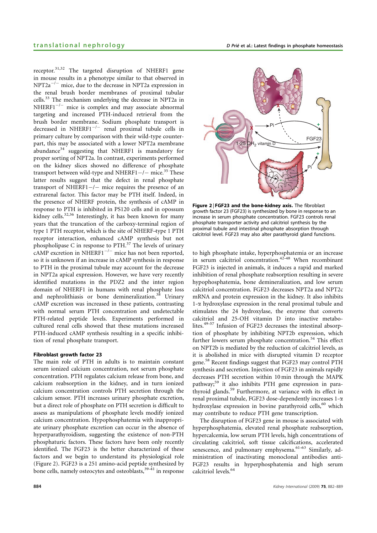receptor.<sup>31,32</sup> The targeted disruption of NHERF1 gene in mouse results in a phenotype similar to that observed in  $NPT2a^{-/-}$  mice, due to the decrease in NPT2a expression in the renal brush border membranes of proximal tubular cells.<sup>33</sup> The mechanism underlying the decrease in NPT2a in  $NHERF1^{-/-}$  mice is complex and may associate abnormal targeting and increased PTH-induced retrieval from the brush border membrane. Sodium phosphate transport is decreased in NHERF1 $^{-/-}$  renal proximal tubule cells in primary culture by comparison with their wild-type counterpart, this may be associated with a lower NPT2a membrane abundance<sup>34</sup> suggesting that NHERF1 is mandatory for proper sorting of NPT2a. In contrast, experiments performed on the kidney slices showed no difference of phosphate transport between wild-type and NHERF1 $-/-$  mice.<sup>35</sup> These latter results suggest that the defect in renal phosphate transport of NHERF1 $-/-$  mice requires the presence of an extrarenal factor. This factor may be PTH itself. Indeed, in the presence of NHERF protein, the synthesis of cAMP in response to PTH is inhibited in PS120 cells and in opossum kidney cells.<sup>32,36</sup> Interestingly, it has been known for many years that the truncation of the carboxy-terminal region of type 1 PTH receptor, which is the site of NHERF–type 1 PTH receptor interaction, enhanced cAMP synthesis but not phospholipase C in response to PTH.<sup>37</sup> The levels of urinary  $cAMP$  excretion in NHERF1<sup>-/-</sup> mice has not been reported, so it is unknown if an increase in cAMP synthesis in response to PTH in the proximal tubule may account for the decrease in NPT2a apical expression. However, we have very recently identified mutations in the PDZ2 and the inter region domain of NHERF1 in humans with renal phosphate loss and nephrolithiasis or bone demineralization. $38$  Urinary cAMP excretion was increased in these patients, contrasting with normal serum PTH concentration and undetectable PTH-related peptide levels. Experiments performed in cultured renal cells showed that these mutations increased PTH-induced cAMP synthesis resulting in a specific inhibition of renal phosphate transport.

#### Fibroblast growth factor 23

The main role of PTH in adults is to maintain constant serum ionized calcium concentration, not serum phosphate concentration. PTH regulates calcium release from bone, and calcium reabsorption in the kidney, and in turn ionized calcium concentration controls PTH secretion through the calcium sensor. PTH increases urinary phosphate excretion, but a direct role of phosphate on PTH secretion is difficult to assess as manipulations of phosphate levels modify ionized calcium concentration. Hypophosphatemia with inappropriate urinary phosphate excretion can occur in the absence of hyperparathyroidism, suggesting the existence of non-PTH phosphaturic factors. These factors have been only recently identified. The FGF23 is the better characterized of these factors and we begin to understand its physiological role (Figure 2). FGF23 is a 251 amino-acid peptide synthesized by bone cells, namely osteocytes and osteoblasts,<sup>39–41</sup> in response



Figure 2 | FGF23 and the bone-kidney axis. The fibroblast growth factor 23 (FGF23) is synthesized by bone in response to an increase in serum phosphate concentration. FGF23 controls renal phosphate transporter activity and calcitriol synthesis by the proximal tubule and intestinal phosphate absorption through calcitriol level. FGF23 may also alter parathyroid gland functions.

to high phosphate intake, hyperphosphatemia or an increase in serum calcitriol concentration.42–48 When recombinant FGF23 is injected in animals, it induces a rapid and marked inhibition of renal phosphate reabsorption resulting in severe hypophosphatemia, bone demineralization, and low serum calcitriol concentration. FGF23 decreases NPT2a and NPT2c mRNA and protein expression in the kidney. It also inhibits  $1-\alpha$  hydroxylase expression in the renal proximal tubule and stimulates the 24 hydroxylase, the enzyme that converts calcitriol and 25-OH vitamin D into inactive metabolites.<sup>49-57</sup> Infusion of FGF23 decreases the intestinal absorption of phosphate by inhibiting NPT2b expression, which further lowers serum phosphate concentration.<sup>54</sup> This effect on NPT2b is mediated by the reduction of calcitriol levels, as it is abolished in mice with disrupted vitamin D receptor gene.<sup>58</sup> Recent findings suggest that FGF23 may control PTH synthesis and secretion. Injection of FGF23 in animals rapidly decreases PTH secretion within 10 min through the MAPK pathway;<sup>59</sup> it also inhibits PTH gene expression in parathyroid glands.<sup>59</sup> Furthermore, at variance with its effect in renal proximal tubule, FGF23 dose-dependently increases  $1-\alpha$ hydroxylase expression in bovine parathyroid cells,<sup>60</sup> which may contribute to reduce PTH gene transcription.

The disruption of FGF23 gene in mouse is associated with hyperphosphatemia, elevated renal phosphate reabsorption, hypercalcemia, low serum PTH levels, high concentrations of circulating calcitriol, soft tissue calcifications, accelerated senescence, and pulmonary emphysema.<sup>61-63</sup> Similarly, administration of inactivating monoclonal antibodies anti-FGF23 results in hyperphosphatemia and high serum calcitriol levels.<sup>64</sup>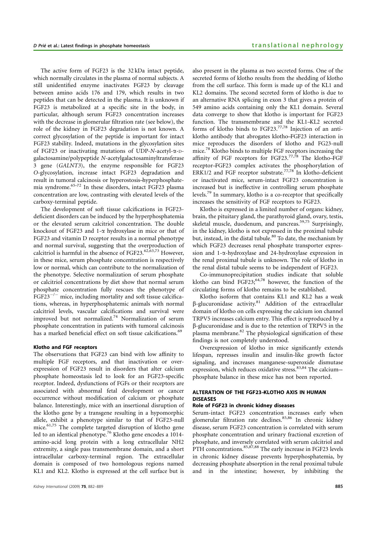The active form of FGF23 is the 32 kDa intact peptide, which normally circulates in the plasma of normal subjects. A still unidentified enzyme inactivates FGF23 by cleavage between amino acids 176 and 179, which results in two peptides that can be detected in the plasma. It is unknown if FGF23 is metabolized at a specific site in the body, in particular, although serum FGF23 concentration increases with the decrease in glomerular filtration rate (see below), the role of the kidney in FGF23 degradation is not known. A correct glycosylation of the peptide is important for intact FGF23 stability. Indeed, mutations in the glycosylation sites of FGF23 or inactivating mutations of UDP-N-acetyl-a-Dgalactosamine/polypeptide N-acetylgalactosaminyltransferase 3 gene (GALNT3), the enzyme responsible for FGF23 O-glycosylation, increase intact FGF23 degradation and result in tumoral calcinosis or hyperostosis–hyperphosphatemia syndrome.65–72 In these disorders, intact FGF23 plasma concentration are low, contrasting with elevated levels of the carboxy-terminal peptide.

The development of soft tissue calcifications in FGF23 deficient disorders can be induced by the hyperphosphatemia or the elevated serum calcitriol concentration. The double knockout of FGF23 and 1- $\alpha$  hydroxylase in mice or that of FGF23 and vitamin D receptor results in a normal phenotype and normal survival, suggesting that the overproduction of calcitriol is harmful in the absence of FGF23. $62,63,73$  However, in these mice, serum phosphate concentration is respectively low or normal, which can contribute to the normalization of the phenotype. Selective normalization of serum phosphate or calcitriol concentrations by diet show that normal serum phosphate concentration fully rescues the phenotype of  $FGF23^{-/-}$  mice, including mortality and soft tissue calcifications, whereas, in hyperphosphatemic animals with normal calcitriol levels, vascular calcifications and survival were improved but not normalized.<sup>74</sup> Normalization of serum phosphate concentration in patients with tumoral calcinosis has a marked beneficial effect on soft tissue calcifications.<sup>69</sup>

#### Klotho and FGF receptors

The observations that FGF23 can bind with low affinity to multiple FGF receptors, and that inactivation or overexpression of FGF23 result in disorders that alter calcium phosphate homeostasis led to look for an FGF23-specific receptor. Indeed, dysfunctions of FGFs or their receptors are associated with abnormal fetal development or cancer occurrence without modification of calcium or phosphate balance. Interestingly, mice with an insertional disruption of the klotho gene by a transgene resulting in a hypomorphic allele, exhibit a phenotype similar to that of FGF23-null mice.<sup>61,75</sup> The complete targeted disruption of klotho gene led to an identical phenotype.<sup>76</sup> Klotho gene encodes a 1014amino-acid long protein with a long extracellular NH2 extremity, a single pass transmembrane domain, and a short intracellular carboxy-terminal region. The extracellular domain is composed of two homologous regions named KL1 and KL2. Klotho is expressed at the cell surface but is also present in the plasma as two secreted forms. One of the secreted forms of klotho results from the shedding of klotho from the cell surface. This form is made up of the KL1 and KL2 domains. The second secreted form of klotho is due to an alternative RNA splicing in exon 3 that gives a protein of 549 amino acids containing only the KL1 domain. Several data converge to show that klotho is important for FGF23 function. The transmembrane and the KL1–KL2 secreted forms of klotho binds to FGF23.77,78 Injection of an antiklotho antibody that abrogates klotho–FGF23 interaction in mice reproduces the disorders of klotho and FG23-null mice.<sup>78</sup> Klotho binds to multiple FGF receptors increasing the affinity of FGF receptors for FGF23.<sup>77,78</sup> The klotho–FGF receptor–FGF23 complex activates the phosphorylation of ERK1/2 and FGF receptor substrate.<sup>77,78</sup> In klotho-deficient or inactivated mice, serum-intact FGF23 concentration is increased but is ineffective in controlling serum phosphate levels.79 In summary, klotho is a co-receptor that specifically increases the sensitivity of FGF receptors to FGF23.

Klotho is expressed in a limited number of organs: kidney, brain, the pituitary gland, the parathyroid gland, ovary, testis, skeletal muscle, duodenum, and pancreas.<sup>59,75</sup> Surprisingly, in the kidney, klotho is not expressed in the proximal tubule but, instead, in the distal tubule.<sup>80</sup> To date, the mechanism by which FGF23 decreases renal phosphate transporter expression and 1-a-hydroxylase and 24-hydroxylase expression in the renal proximal tubule is unknown. The role of klotho in the renal distal tubule seems to be independent of FGF23.

Co-immunoprecipitation studies indicate that soluble klotho can bind  $FGF23$ ;<sup>64,78</sup> however, the function of the circulating forms of klotho remains to be established.

Klotho isoform that contains KL1 and KL2 has a weak  $\beta$ -glucuronidase activity.<sup>81</sup> Addition of the extracellular domain of klotho on cells expressing the calcium ion channel TRPV5 increases calcium entry. This effect is reproduced by a b-glucuronidase and is due to the retention of TRPV5 in the  $p$ lasma membrane. $82$  The physiological signification of these findings is not completely understood.

Overexpression of klotho in mice significantly extends lifespan, represses insulin and insulin-like growth factor signaling, and increases manganese-superoxide dismutase expression, which reduces oxidative stress.<sup>83,84</sup> The calcium-phosphate balance in these mice has not been reported.

#### ALTERATION OF THE FGF23–KLOTHO AXIS IN HUMAN DISEASES

# Role of FGF23 in chronic kidney diseases

Serum-intact FGF23 concentration increases early when glomerular filtration rate declines.<sup>85,86</sup> In chronic kidney disease, serum FGF23 concentration is correlated with serum phosphate concentration and urinary fractional excretion of phosphate, and inversely correlated with serum calcitriol and PTH concentrations.<sup>85,87,88</sup> The early increase in FGF23 levels in chronic kidney disease prevents hyperphosphatemia, by decreasing phosphate absorption in the renal proximal tubule and in the intestine; however, by inhibiting the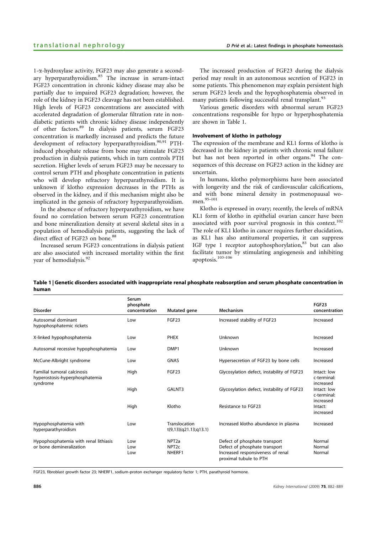1-a-hydroxylase activity, FGF23 may also generate a secondary hyperparathyroidism.<sup>85</sup> The increase in serum-intact FGF23 concentration in chronic kidney disease may also be partially due to impaired FGF23 degradation; however, the role of the kidney in FGF23 cleavage has not been established. High levels of FGF23 concentrations are associated with accelerated degradation of glomerular filtration rate in nondiabetic patients with chronic kidney disease independently of other factors.<sup>89</sup> In dialysis patients, serum FGF23 concentration is markedly increased and predicts the future development of refractory hyperparathyroidism.<sup>90,91</sup> PTHinduced phosphate release from bone may stimulate FGF23 production in dialysis patients, which in turn controls PTH secretion. Higher levels of serum FGF23 may be necessary to control serum PTH and phosphate concentration in patients who will develop refractory hyperparathyroidism. It is unknown if klotho expression decreases in the PTHs as observed in the kidney, and if this mechanism might also be implicated in the genesis of refractory hyperparathyroidism.

In the absence of refractory hyperparathyroidism, we have found no correlation between serum FGF23 concentration and bone mineralization density at several skeletal sites in a population of hemodialysis patients, suggesting the lack of direct effect of FGF23 on bone.<sup>88</sup>

Increased serum FGF23 concentrations in dialysis patient are also associated with increased mortality within the first year of hemodialysis.<sup>92</sup>

The increased production of FGF23 during the dialysis period may result in an autonomous secretion of FGF23 in some patients. This phenomenon may explain persistent high serum FGF23 levels and the hypophosphatemia observed in many patients following successful renal transplant.<sup>93</sup>

Various genetic disorders with abnormal serum FGF23 concentrations responsible for hypo or hyperphosphatemia are shown in Table 1.

#### Involvement of klotho in pathology

The expression of the membrane and KL1 forms of klotho is decreased in the kidney in patients with chronic renal failure but has not been reported in other organs.<sup>94</sup> The consequences of this decrease on FGF23 action in the kidney are uncertain.

In humans, klotho polymorphisms have been associated with longevity and the risk of cardiovascular calcifications, and with bone mineral density in postmenopausal women.95–101

Klotho is expressed in ovary; recently, the levels of mRNA KL1 form of klotho in epithelial ovarian cancer have been associated with poor survival prognosis in this context.<sup>102</sup> The role of KL1 klotho in cancer requires further elucidation, as KL1 has also antitumoral properties, it can suppress IGF type 1 receptor autophosphorylation, $83$  but can also facilitate tumor by stimulating angiogenesis and inhibiting apoptosis.<sup>103-106</sup>

|       | Table 1 Genetic disorders associated with inappropriate renal phosphate reabsorption and serum phosphate concentration in |  |  |
|-------|---------------------------------------------------------------------------------------------------------------------------|--|--|
| human |                                                                                                                           |  |  |

| <b>Disorder</b>                                                           | Serum<br>phosphate<br>concentration | Mutated gene                                     | Mechanism                                                                                                                     | <b>FGF23</b><br>concentration           |
|---------------------------------------------------------------------------|-------------------------------------|--------------------------------------------------|-------------------------------------------------------------------------------------------------------------------------------|-----------------------------------------|
| Autosomal dominant<br>hypophosphatemic rickets                            | Low                                 | FGF <sub>23</sub>                                | Increased stability of FGF23                                                                                                  | Increased                               |
| X-linked hypophosphatemia                                                 | Low                                 | <b>PHEX</b>                                      | Unknown                                                                                                                       | Increased                               |
| Autosomal recessive hypophosphatemia                                      | Low                                 | DMP1                                             | Unknown                                                                                                                       | Increased                               |
| McCune-Albright syndrome                                                  | Low                                 | <b>GNAS</b>                                      | Hypersecretion of FGF23 by bone cells                                                                                         | Increased                               |
| Familial tumoral calcinosis<br>hyperostosis-hyperphosphatemia<br>syndrome | High                                | FGF <sub>23</sub>                                | Glycosylation defect, instability of FGF23                                                                                    | Intact: low<br>c-terminal:              |
|                                                                           | High                                | GALNT3                                           | Glycosylation defect, instability of FGF23                                                                                    | increased<br>Intact: low<br>c-terminal: |
|                                                                           | High                                | Klotho                                           | Resistance to FGF23                                                                                                           | increased<br>Intact:<br>increased       |
| Hypophosphatemia with<br>hyperparathyroidism                              | Low                                 | Translocation<br>t(9,13)(q21.13;q13.1)           | Increased klotho abundance in plasma                                                                                          | Increased                               |
| Hypophosphatemia with renal lithiasis<br>or bone demineralization         | Low<br>Low<br>Low                   | NPT <sub>2a</sub><br>NPT <sub>2c</sub><br>NHERF1 | Defect of phosphate transport<br>Defect of phosphate transport<br>Increased responsiveness of renal<br>proximal tubule to PTH | Normal<br>Normal<br>Normal              |

FGF23, fibroblast growth factor 23; NHERF1, sodium–proton exchanger regulatory factor 1; PTH, parathyroid hormone.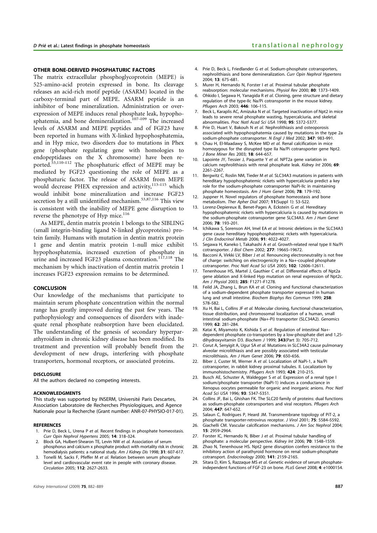#### OTHER BONE-DERIVED PHOSPHATURIC FACTORS

The matrix extracellular phosphoglycoprotein (MEPE) is 525-amino-acid protein expressed in bone. Its cleavage releases an acid-rich motif peptide (ASARM) located in the carboxy-terminal part of MEPE. ASARM peptide is an inhibitor of bone mineralization. Administration or overexpression of MEPE induces renal phosphate leak, hypophosphatemia, and bone demineralization.<sup>107–109</sup> The increased levels of ASARM and MEPE peptides and of FGF23 have been reported in humans with X-linked hypophosphatemia, and in Hyp mice, two disorders due to mutations in Phex gene (phosphate regulating gene with homologies to endopeptidases on the X chromosome) have been reported.53,110–112 The phosphaturic effect of MEPE may be mediated by FGF23 questioning the role of MEPE as a phosphaturic factor. The release of ASARM from MEPE would decrease PHEX expression and activity,<sup>113-115</sup> which would inhibit bone mineralization and increase FGF23 secretion by a still unidentified mechanism.<sup>53,87,116</sup> This view is consistent with the inability of MEPE gene disruption to reverse the phenotype of Hyp mice.<sup>116</sup>

As MEPE, dentin matrix protein 1 belongs to the SIBLING (small integrin-binding ligand N-linked glycoproteins) protein family. Humans with mutation in dentin matrix protein 1 gene and dentin matrix protein 1-null mice exhibit hypophosphatemia, increased excretion of phosphate in urine and increased FGF23 plasma concentration.<sup>117,118</sup> The mechanism by which inactivation of dentin matrix protein 1 increases FGF23 expression remains to be determined.

#### **CONCLUSION**

Our knowledge of the mechanisms that participate to maintain serum phosphate concentration within the normal range has greatly improved during the past few years. The pathophysiology and consequences of disorders with inadequate renal phosphate reabsorption have been elucidated. The understanding of the genesis of secondary hyperparathyroidism in chronic kidney disease has been modified. Its treatment and prevention will probably benefit from the development of new drugs, interfering with phosphate transporters, hormonal receptors, or associated proteins.

#### DISCLOSURE

All the authors declared no competing interests.

#### ACKNOWLEDGMENTS

This study was supported by INSERM, Université Paris Descartes, Association Laboratoire de Recherches Physiologiques, and Agence Nationale pour la Recherche (Grant number: ANR-07-PHYSIO-017-01).

#### **REFERENCES**

- 1. Prie D, Beck L, Urena P et al. Recent findings in phosphate homeostasis. Curr Opin Nephrol Hypertens 2005; 14: 318–324.
- 2. Block GA, Hulbert-Shearon TE, Levin NW et al. Association of serum phosphorus and calcium x phosphate product with mortality risk in chronic hemodialysis patients: a national study. Am J Kidney Dis 1998; 31: 607-617.
- Tonelli M, Sacks F, Pfeffer M et al. Relation between serum phosphate level and cardiovascular event rate in people with coronary disease. Circulation 2005; 112: 2627–2633.
- 4. Prie D, Beck L, Friedlander G et al. Sodium-phosphate cotransporters, nephrolithiasis and bone demineralization. Curr Opin Nephrol Hypertens 2004; 13: 675–681.
- 5. Murer H, Hernando N, Forster I et al. Proximal tubular phosphate reabsorption: molecular mechanisms. Physiol Rev 2000; 80: 1373–1409.
- 6. Ohkido I, Segawa H, Yanagida R et al. Cloning, gene structure and dietary regulation of the type-IIc Na/Pi cotransporter in the mouse kidney. Pflugers Arch 2003; 446: 106–115.
- Beck L, Karaplis AC, Amizuka N et al. Targeted inactivation of Npt2 in mice leads to severe renal phosphate wasting, hypercalciuria, and skeletal abnormalities. Proc Natl Acad Sci USA 1998; 95: 5372–5377.
- 8. Prie D, Huart V, Bakouh N et al. Nephrolithiasis and osteoporosis associated with hypophosphatemia caused by mutations in the type 2a sodium-phosphate cotransporter. N Engl J Med 2002; 347: 983–991.
- Chau H, El-Maadawy S, McKee MD et al. Renal calcification in mice homozygous for the disrupted type IIa Na/Pi cotransporter gene Npt2. J Bone Miner Res 2003; 18: 644–657.
- 10. Lapointe JY, Tessier J, Paquette Y et al. NPT2a gene variation in calcium nephrolithiasis with renal phosphate leak. Kidney Int 2006; 69: 2261–2267.
- 11. Bergwitz C, Roslin NM, Tieder M et al. SLC34A3 mutations in patients with hereditary hypophosphatemic rickets with hypercalciuria predict a key role for the sodium-phosphate cotransporter NaPi-IIc in maintaining phosphate homeostasis. Am J Hum Genet 2006; 78: 179–192.
- 12. Juppner H. Novel regulators of phosphate homeostasis and bone metabolism. Ther Apher Dial 2007; 11(Suppl 1): S3–S22.
- 13. Lorenz-Depiereux B, Benet-Pages A, Eckstein G et al. Hereditary hypophosphatemic rickets with hypercalciuria is caused by mutations in the sodium-phosphate cotransporter gene SLC34A3. Am J Hum Genet 2006; 78: 193–201.
- 14. Ichikawa S, Sorenson AH, Imel EA et al. Intronic deletions in the SLC34A3 gene cause hereditary hypophosphatemic rickets with hypercalciuria. J Clin Endocrinol Metab 2006; 91: 4022–4027.
- 15. Segawa H, Kaneko I, Takahashi A et al. Growth-related renal type II Na/Pi cotransporter. J Biol Chem 2002; 277: 19665–19672.
- 16. Bacconi A, Virkki LV, Biber J et al. Renouncing electroneutrality is not free of charge: switching on electrogenicity in a Na+-coupled phosphate cotransporter. Proc Natl Acad Sci USA 2005; 102: 12606–12611.
- 17. Tenenhouse HS, Martel J, Gauthier C et al. Differential effects of Npt2a gene ablation and X-linked Hyp mutation on renal expression of Npt2c. Am J Physiol 2003; 285: F1271-F1278.
- 18. Feild JA, Zhang L, Brun KA et al. Cloning and functional characterization of a sodium-dependent phosphate transporter expressed in human lung and small intestine. Biochem Biophys Res Commun 1999; 258: 578–582.
- 19. Xu H, Bai L, Collins JF et al. Molecular cloning, functional characterization, tissue distribution, and chromosomal localization of a human, small intestinal sodium-phosphate (Na+-Pi) transporter (SLC34A2). Genomics 1999; 62: 281–284.
- 20. Katai K, Miyamoto K, Kishida S et al. Regulation of intestinal Na+dependent phosphate co-transporters by a low-phosphate diet and 1,25 dihydroxyvitamin D3. Biochem J 1999; 343(Part 3): 705–712.
- 21. Corut A, Senvigit A, Ugur SA et al. Mutations in SLC34A2 cause pulmonary alveolar microlithiasis and are possibly associated with testicular microlithiasis. Am J Hum Genet 2006; 79: 650-656.
- 22. Biber J, Custer M, Werner A et al. Localization of NaPi-1, a Na/Pi cotransporter, in rabbit kidney proximal tubules. II. Localization by immunohistochemistry. Pflugers Arch 1993; 424: 210–215.
- 23. Busch AE, Schuster A, Waldegger S et al. Expression of a renal type I sodium/phosphate transporter (NaPi-1) induces a conductance in Xenopus oocytes permeable for organic and inorganic anions. Proc Natl Acad Sci USA 1996; 93: 5347–5351.
- 24. Collins JE, Bai L, Ghishan FK. The SLC20 family of proteins: dual functions as sodium-phosphate cotransporters and viral receptors. Pflugers Arch 2004; 447: 647–652.
- 25. Salaun C, Rodrigues P, Heard JM. Transmembrane topology of PiT-2, a phosphate transporter-retrovirus receptor. J Virol 2001; 75: 5584–5592.
- 26. Giachelli CM. Vascular calcification mechanisms. J Am Soc Nephrol 2004; 15: 2959–2964.
- 27. Forster IC, Hernando N, Biber J et al. Proximal tubular handling of phosphate: a molecular perspective. Kidney Int 2006; 70: 1548–1559.
- 28. Zhao N, Tenenhouse HS. Npt2 gene disruption confers resistance to the inhibitory action of parathyroid hormone on renal sodium-phosphate cotransport. Endocrinology 2000; 141: 2159–2165.
- 29. Sitara D, Kim S, Razzaque MS et al. Genetic evidence of serum phosphateindependent functions of FGF-23 on bone. PLoS Genet 2008; 4: e1000154.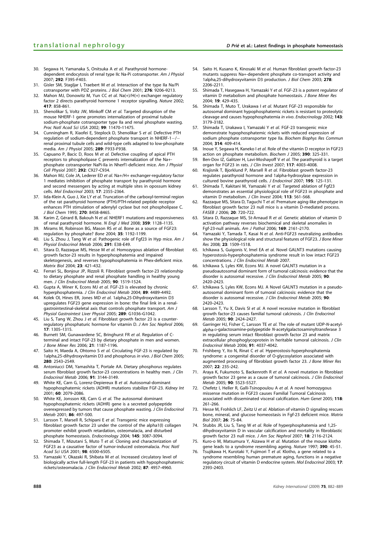- 30. Segawa H, Yamanaka S, Onitsuka A et al. Parathyroid hormonedependent endocytosis of renal type IIc Na-Pi cotransporter. Am J Physiol 2007; 292: F395–F403.
- 31. Gisler SM, Stagljar I, Traebert M et al. Interaction of the type IIa Na/Pi cotransporter with PDZ proteins. J Biol Chem 2001; 276: 9206–9213.
- Mahon MJ, Donowitz M, Yun CC et al. Na(+)/H(+) exchanger regulatory factor 2 directs parathyroid hormone 1 receptor signalling. Nature 2002; 417: 858–861.
- 33. Shenolikar S, Voltz JW, Minkoff CM et al. Targeted disruption of the mouse NHERF-1 gene promotes internalization of proximal tubule sodium-phosphate cotransporter type IIa and renal phosphate wasting. Proc Natl Acad Sci USA 2002; 99: 11470–11475.
- 34. Cunningham R, Xiaofei E, Steplock D, Shenolikar S et al. Defective PTH regulation of sodium-dependent phosphate transport in NHERF-1 $-$ / renal proximal tubule cells and wild-type cells adapted to low-phosphate media. Am J Physiol 2005; 289: F933–F938.
- 35. Capuano P, Bacic D, Roos M et al. Defective coupling of apical PTH receptors to phospholipase C prevents internalization of the Na+ phosphate cotransporter NaPi-IIa in Nherf1-deficient mice. Am J Physiol Cell Physiol 2007; 292: C927-C934.
- 36. Mahon MJ, Cole JA, Lederer ED et al. Na+/H+ exchanger-regulatory factor 1 mediates inhibition of phosphate transport by parathyroid hormone and second messengers by acting at multiple sites in opossum kidney cells. Mol Endocrinol 2003; 17: 2355–2364.
- 37. Iida-Klein A, Guo J, Xie LY et al. Truncation of the carboxyl-terminal region of the rat parathyroid hormone (PTH)/PTH-related peptide receptor enhances PTH stimulation of adenylyl cyclase but not phospholipase C. J Biol Chem 1995; 270: 8458-8465.
- 38. Karim Z, Gérard B, Bakouh N et al. NHERF1 mutations and responsiveness of renal parathyroid hormone. N Engl J Med 2008; 359: 1128-1135
- 39. Mirams M, Robinson BG, Mason RS et al. Bone as a source of FGF23: regulation by phosphate? Bone 2004; 35: 1192-1199.
- 40. Liu S, Zhou J, Tang W et al. Pathogenic role of Fgf23 in Hyp mice. Am J Physiol Endocrinol Metab 2006; 291: E38-E49.
- 41. Sitara D, Razzaque MS, Hesse M et al. Homozygous ablation of fibroblast growth factor-23 results in hyperphosphatemia and impaired skeletogenesis, and reverses hypophosphatemia in Phex-deficient mice. Matrix Biol 2004; 23: 421–432.
- 42. Ferrari SL, Bonjour JP, Rizzoli R. Fibroblast growth factor-23 relationship to dietary phosphate and renal phosphate handling in healthy young men. J Clin Endocrinol Metab 2005; 90: 1519-1524.
- Gupta A, Winer K, Econs MJ et al. FGF-23 is elevated by chronic hyperphosphatemia. J Clin Endocrinol Metab 2004; 89: 4489–4492.
- Kolek OI, Hines ER, Jones MD et al. 1alpha,25-Dihydroxyvitamin D3 upregulates FGF23 gene expression in bone: the final link in a renalgastrointestinal-skeletal axis that controls phosphate transport. Am J Physiol Gastrointest Liver Physiol 2005; 289: G1036-G1042.
- 45. Liu S, Tang W, Zhou J et al. Fibroblast growth factor 23 is a counterregulatory phosphaturic hormone for vitamin D. J Am Soc Nephrol 2006; 17: 1305–1315.
- 46. Burnett SM, Gunawardene SC, Bringhurst FR et al. Regulation of Cterminal and intact FGF-23 by dietary phosphate in men and women. J Bone Miner Res 2006; 21: 1187–1196.
- 47. Saito H, Maeda A, Ohtomo S et al. Circulating FGF-23 is regulated by 1alpha,25-dihydroxyvitamin D3 and phosphorus in vivo. J Biol Chem 2005; 280: 2543–2549.
- 48. Antoniucci DM, Yamashita T, Portale AA. Dietary phosphorus regulates serum fibroblast growth factor-23 concentrations in healthy men. J Clin Endocrinol Metab 2006; 91: 3144–3149.
- 49. White KE, Carn G, Lorenz-Depiereux B et al. Autosomal-dominant hypophosphatemic rickets (ADHR) mutations stabilize FGF-23. Kidney Int 2001; 60: 2079–2086.
- 50. White KE, Jonsson KB, Carn G et al. The autosomal dominant hypophosphatemic rickets (ADHR) gene is a secreted polypeptide overexpressed by tumors that cause phosphate wasting. J Clin Endocrinol Metab 2001; 86: 497–500.
- 51. Larsson T, Marsell R, Schipani E et al. Transgenic mice expressing fibroblast growth factor 23 under the control of the alpha1(I) collagen promoter exhibit growth retardation, osteomalacia, and disturbed phosphate homeostasis. Endocrinology 2004; 145: 3087–3094.
- 52. Shimada T, Mizutani S, Muto T et al. Cloning and characterization of FGF23 as a causative factor of tumor-induced osteomalacia. Proc Natl Acad Sci USA 2001; 98: 6500–6505.
- 53. Yamazaki Y, Okazaki R, Shibata M et al. Increased circulatory level of biologically active full-length FGF-23 in patients with hypophosphatemic rickets/osteomalacia. J Clin Endocrinol Metab 2002; 87: 4957–4960.
- 54. Saito H, Kusano K, Kinosaki M et al. Human fibroblast growth factor-23 mutants suppress Na+-dependent phosphate co-transport activity and 1alpha,25-dihydroxyvitamin D3 production. J Biol Chem 2003; 278: 2206–2211.
- 55. Shimada T, Hasegawa H, Yamazaki Y et al. FGF-23 is a potent regulator of vitamin D metabolism and phosphate homeostasis. J Bone Miner Res 2004; 19: 429–435.
- Shimada T, Muto T, Urakawa I et al. Mutant FGF-23 responsible for autosomal dominant hypophosphatemic rickets is resistant to proteolytic cleavage and causes hypophosphatemia in vivo. Endocrinology 2002; 143: 3179–3182.
- Shimada T, Urakawa I, Yamazaki Y et al. FGF-23 transgenic mice demonstrate hypophosphatemic rickets with reduced expression of sodium phosphate cotransporter type IIa. Biochem Biophys Res Commun 2004; 314: 409–414.
- 58. Inoue Y, Segawa H, Kaneko I et al. Role of the vitamin D receptor in FGF23 action on phosphate metabolism. Biochem J 2005; 390: 325-331.
- 59. Ben-Dov IZ, Galitzer H, Lavi-Moshayoff V et al. The parathyroid is a target organ for FGF23 in rats. J Clin Invest 2007; 117: 4003–4008.
- 60. Krajisnik T, Bjorklund P, Marsell R et al. Fibroblast growth factor-23 regulates parathyroid hormone and 1alpha-hydroxylase expression in cultured bovine parathyroid cells. J Endocrinol 2007; 195: 125–131.
- 61. Shimada T, Kakitani M, Yamazaki Y et al. Targeted ablation of Fgf23 demonstrates an essential physiological role of FGF23 in phosphate and vitamin D metabolism. J Clin Invest 2004; 113: 561–568.
- Razzaque MS, Sitara D, Taguchi T et al. Premature aging-like phenotype in fibroblast growth factor 23 null mice is a vitamin D-mediated process. FASEB J 2006; 20: 720–722.
- Sitara D, Razzaque MS, St-Arnaud R et al. Genetic ablation of vitamin D activation pathway reverses biochemical and skeletal anomalies in Fgf-23-null animals. Am J Pathol 2006; 169: 2161–2170.
- Yamazaki Y, Tamada T, Kasai N et al. Anti-FGF23 neutralizing antibodies show the physiological role and structural features of FGF23. J Bone Miner Res 2008; 23: 1509–1518.
- 65. Ichikawa S, Guigonis V, Imel EA et al. Novel GALNT3 mutations causing hyperostosis-hyperphosphatemia syndrome result in low intact FGF23 concentrations. J Clin Endocrinol Metab 2007.
- 66. Ichikawa S, Lyles KW, Econs MJ. A novel GALNT3 mutation in a pseudoautosomal dominant form of tumoral calcinosis: evidence that the disorder is autosomal recessive. J Clin Endocrinol Metab 2005; 90: 2420–2423.
- 67. Ichikawa S, Lyles KW, Econs MJ. A Novel GALNT3 mutation in a pseudoautosomal dominant form of tumoral calcinosis: evidence that the disorder is autosomal recessive. J Clin Endocrinol Metab 2005; 90: 2420–2423.
- 68. Larsson T, Yu X, Davis SI et al. A novel recessive mutation in fibroblast growth factor-23 causes familial tumoral calcinosis. J Clin Endocrinol Metab 2005; 90: 2424–2427.
- 69. Garringer HJ, Fisher C, Larsson TE et al. The role of mutant UDP-N-acetylalpha-D-galactosamine-polypeptide N-acetylgalactosaminyltransferase 3 in regulating serum intact fibroblast growth factor 23 and matrix extracellular phosphoglycoprotein in heritable tumoral calcinosis. J Clin Endocrinol Metab 2006; 91: 4037–4042.
- 70. Frishberg Y, Ito N, Rinat C et al. Hyperostosis-hyperphosphatemia syndrome: a congenital disorder of O-glycosylation associated with augmented processing of fibroblast growth factor 23. J Bone Miner Res  $2007: 22: 235 - 242$
- 71. Araya K, Fukumoto S, Backenroth R et al. A novel mutation in fibroblast growth factor 23 gene as a cause of tumoral calcinosis. J Clin Endocrinol Metab 2005; 90: 5523–5527.
- 72. Chefetz I, Heller R, Galli-Tsinopoulou A et al. A novel homozygous missense mutation in FGF23 causes Familial Tumoral Calcinosis associated with disseminated visceral calcification. Hum Genet 2005; 118: 261–266.
- 73. Hesse M, Frohlich LF, Zeitz U et al. Ablation of vitamin D signaling rescues bone, mineral, and glucose homeostasis in Fgf-23 deficient mice. Matrix Biol 2007; 26: 75–84.
- 74. Stubbs JR, Liu S, Tang W et al. Role of hyperphosphatemia and 1,25dihydroxyvitamin D in vascular calcification and mortality in fibroblastic growth factor 23 null mice. J Am Soc Nephrol 2007; 18: 2116-2124.
- 75. Kuro-o M, Matsumura Y, Aizawa H et al. Mutation of the mouse klotho gene leads to a syndrome resembling ageing. Nature 1997; 390: 45-51.
- 76. Tsujikawa H, Kurotaki Y, Fujimori T et al. Klotho, a gene related to a syndrome resembling human premature aging, functions in a negative regulatory circuit of vitamin D endocrine system. Mol Endocrinol 2003; 17: 2393–2403.